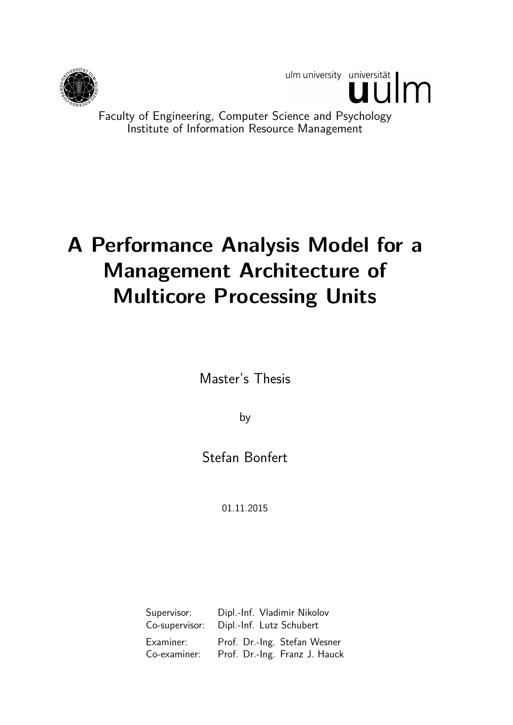

ulm university universität

Faculty of Engineering, Computer Science and Psychology Institute of Information Resource Management

# **A Performance Analysis Model for a Management Architecture of Multicore Processing Units**

Master's Thesis

by

Stefan Bonfert

01.11.2015

| Supervisor:    | Dipl.-Inf. Vladimir Nikolov   |
|----------------|-------------------------------|
| Co-supervisor: | Dipl.-Inf. Lutz Schubert      |
| Examiner:      | Prof. Dr.-Ing. Stefan Wesner  |
| Co-examiner:   | Prof. Dr.-Ing. Franz J. Hauck |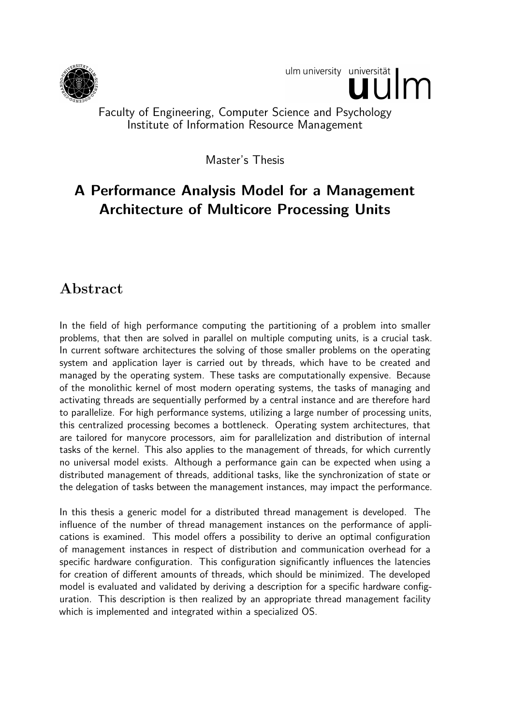

ulm university universität

## Faculty of Engineering, Computer Science and Psychology Institute of Information Resource Management

Master's Thesis

## **A Performance Analysis Model for a Management Architecture of Multicore Processing Units**

## **Abstract**

In the field of high performance computing the partitioning of a problem into smaller problems, that then are solved in parallel on multiple computing units, is a crucial task. In current software architectures the solving of those smaller problems on the operating system and application layer is carried out by threads, which have to be created and managed by the operating system. These tasks are computationally expensive. Because of the monolithic kernel of most modern operating systems, the tasks of managing and activating threads are sequentially performed by a central instance and are therefore hard to parallelize. For high performance systems, utilizing a large number of processing units, this centralized processing becomes a bottleneck. Operating system architectures, that are tailored for manycore processors, aim for parallelization and distribution of internal tasks of the kernel. This also applies to the management of threads, for which currently no universal model exists. Although a performance gain can be expected when using a distributed management of threads, additional tasks, like the synchronization of state or the delegation of tasks between the management instances, may impact the performance.

In this thesis a generic model for a distributed thread management is developed. The influence of the number of thread management instances on the performance of applications is examined. This model offers a possibility to derive an optimal configuration of management instances in respect of distribution and communication overhead for a specific hardware configuration. This configuration significantly influences the latencies for creation of different amounts of threads, which should be minimized. The developed model is evaluated and validated by deriving a description for a specific hardware configuration. This description is then realized by an appropriate thread management facility which is implemented and integrated within a specialized OS.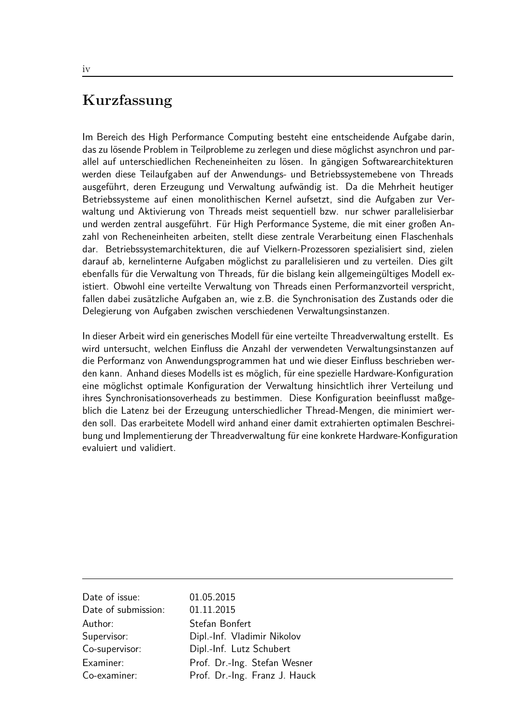## **Kurzfassung**

Im Bereich des High Performance Computing besteht eine entscheidende Aufgabe darin, das zu lösende Problem in Teilprobleme zu zerlegen und diese möglichst asynchron und parallel auf unterschiedlichen Recheneinheiten zu lösen. In gängigen Softwarearchitekturen werden diese Teilaufgaben auf der Anwendungs- und Betriebssystemebene von Threads ausgeführt, deren Erzeugung und Verwaltung aufwändig ist. Da die Mehrheit heutiger Betriebssysteme auf einen monolithischen Kernel aufsetzt, sind die Aufgaben zur Verwaltung und Aktivierung von Threads meist sequentiell bzw. nur schwer parallelisierbar und werden zentral ausgeführt. Für High Performance Systeme, die mit einer großen Anzahl von Recheneinheiten arbeiten, stellt diese zentrale Verarbeitung einen Flaschenhals dar. Betriebssystemarchitekturen, die auf Vielkern-Prozessoren spezialisiert sind, zielen darauf ab, kernelinterne Aufgaben möglichst zu parallelisieren und zu verteilen. Dies gilt ebenfalls für die Verwaltung von Threads, für die bislang kein allgemeingültiges Modell existiert. Obwohl eine verteilte Verwaltung von Threads einen Performanzvorteil verspricht, fallen dabei zusätzliche Aufgaben an, wie z.B. die Synchronisation des Zustands oder die Delegierung von Aufgaben zwischen verschiedenen Verwaltungsinstanzen.

In dieser Arbeit wird ein generisches Modell für eine verteilte Threadverwaltung erstellt. Es wird untersucht, welchen Einfluss die Anzahl der verwendeten Verwaltungsinstanzen auf die Performanz von Anwendungsprogrammen hat und wie dieser Einfluss beschrieben werden kann. Anhand dieses Modells ist es möglich, für eine spezielle Hardware-Konfiguration eine möglichst optimale Konfiguration der Verwaltung hinsichtlich ihrer Verteilung und ihres Synchronisationsoverheads zu bestimmen. Diese Konfiguration beeinflusst maßgeblich die Latenz bei der Erzeugung unterschiedlicher Thread-Mengen, die minimiert werden soll. Das erarbeitete Modell wird anhand einer damit extrahierten optimalen Beschreibung und Implementierung der Threadverwaltung für eine konkrete Hardware-Konfiguration evaluiert und validiert.

| Date of issue:      | 01.05.2015                    |
|---------------------|-------------------------------|
| Date of submission: | 01.11.2015                    |
| Author:             | Stefan Bonfert                |
| Supervisor:         | Dipl.-Inf. Vladimir Nikolov   |
| Co-supervisor:      | Dipl.-Inf. Lutz Schubert      |
| Examiner:           | Prof. Dr.-Ing. Stefan Wesner  |
| Co-examiner:        | Prof. Dr.-Ing. Franz J. Hauck |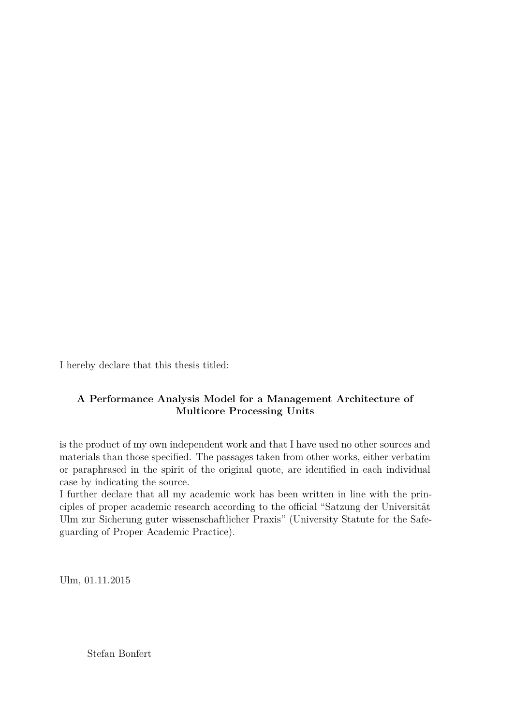I hereby declare that this thesis titled:

### **A Performance Analysis Model for a Management Architecture of Multicore Processing Units**

is the product of my own independent work and that I have used no other sources and materials than those specified. The passages taken from other works, either verbatim or paraphrased in the spirit of the original quote, are identified in each individual case by indicating the source.

I further declare that all my academic work has been written in line with the principles of proper academic research according to the official "Satzung der Universität Ulm zur Sicherung guter wissenschaftlicher Praxis" (University Statute for the Safeguarding of Proper Academic Practice).

Ulm, 01.11.2015

Stefan Bonfert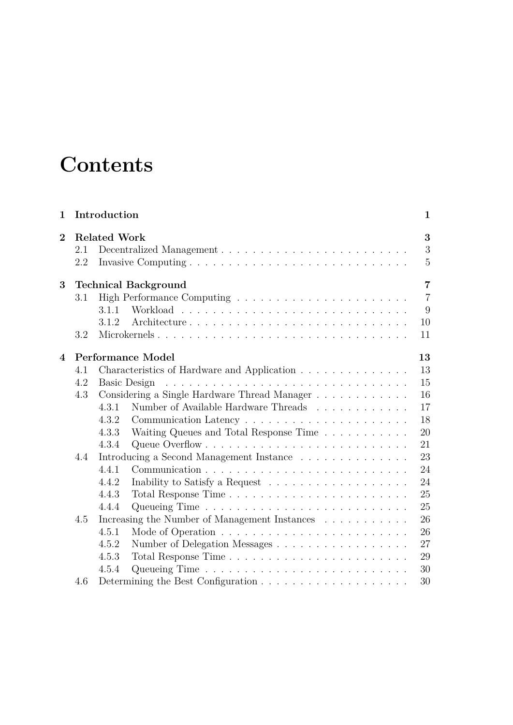# **Contents**

| <b>Related Work</b><br>$\overline{2}$      | 3                                                                                          |  |  |  |
|--------------------------------------------|--------------------------------------------------------------------------------------------|--|--|--|
| 2.1<br>2.2                                 | 3<br>5                                                                                     |  |  |  |
| 3<br><b>Technical Background</b>           |                                                                                            |  |  |  |
| 3.1                                        | $\overline{7}$                                                                             |  |  |  |
| 3.1.1                                      | 9                                                                                          |  |  |  |
| 3.1.2                                      | 10                                                                                         |  |  |  |
| 3.2                                        | Microkernels<br>11                                                                         |  |  |  |
|                                            |                                                                                            |  |  |  |
| <b>Performance Model</b><br>$\overline{4}$ | 13<br>13                                                                                   |  |  |  |
| 4.1<br>4.2                                 | Characteristics of Hardware and Application<br>15                                          |  |  |  |
| <b>Basic Design</b><br>4.3                 | 16                                                                                         |  |  |  |
| 4.3.1                                      | Considering a Single Hardware Thread Manager<br>Number of Available Hardware Threads<br>17 |  |  |  |
| 4.3.2                                      | 18                                                                                         |  |  |  |
| 4.3.3                                      | 20                                                                                         |  |  |  |
| 4.3.4                                      | Waiting Queues and Total Response Time<br>21                                               |  |  |  |
| 4.4                                        | 23                                                                                         |  |  |  |
| 4.4.1                                      | Introducing a Second Management Instance<br>24                                             |  |  |  |
| 4.4.2                                      | 24                                                                                         |  |  |  |
| 4.4.3                                      | 25                                                                                         |  |  |  |
| 4.4.4                                      | 25                                                                                         |  |  |  |
| 4.5                                        | Increasing the Number of Management Instances<br>26                                        |  |  |  |
| 4.5.1                                      | 26                                                                                         |  |  |  |
| 4.5.2                                      | 27<br>Number of Delegation Messages                                                        |  |  |  |
| 4.5.3                                      | 29                                                                                         |  |  |  |
| 4.5.4                                      | 30                                                                                         |  |  |  |
| 4.6                                        | 30                                                                                         |  |  |  |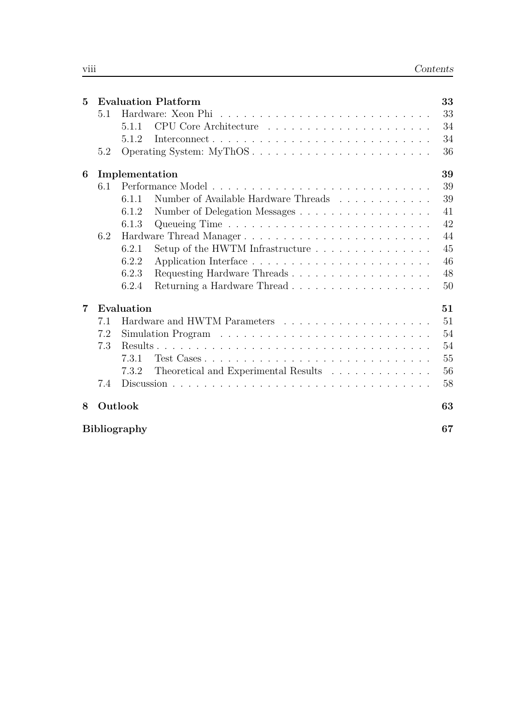| $\mathbf{5}$ |     | <b>Evaluation Platform</b>                                                | 33 |  |  |  |
|--------------|-----|---------------------------------------------------------------------------|----|--|--|--|
|              | 5.1 | Hardware: Xeon Phi                                                        |    |  |  |  |
|              |     | 5.1.1                                                                     | 34 |  |  |  |
|              |     | 5.1.2                                                                     | 34 |  |  |  |
|              | 5.2 |                                                                           | 36 |  |  |  |
| 6            |     | Implementation                                                            | 39 |  |  |  |
|              | 6.1 |                                                                           | 39 |  |  |  |
|              |     | Number of Available Hardware Threads<br>6.1.1                             | 39 |  |  |  |
|              |     | Number of Delegation Messages<br>6.1.2                                    | 41 |  |  |  |
|              |     | 6.1.3                                                                     | 42 |  |  |  |
|              | 6.2 | Hardware Thread Manager                                                   | 44 |  |  |  |
|              |     | Setup of the HWTM Infrastructure $\dots \dots \dots \dots \dots$<br>6.2.1 | 45 |  |  |  |
|              |     | 6.2.2                                                                     | 46 |  |  |  |
|              |     | 6.2.3<br>Requesting Hardware Threads                                      | 48 |  |  |  |
|              |     | 6.2.4                                                                     | 50 |  |  |  |
| 7            |     | Evaluation                                                                | 51 |  |  |  |
|              | 7.1 |                                                                           | 51 |  |  |  |
|              | 7.2 |                                                                           | 54 |  |  |  |
|              | 7.3 |                                                                           | 54 |  |  |  |
|              |     | 7.3.1<br>Test Cases                                                       | 55 |  |  |  |
|              |     | 7.3.2<br>Theoretical and Experimental Results                             | 56 |  |  |  |
|              | 7.4 |                                                                           | 58 |  |  |  |
| 8            |     | Outlook                                                                   | 63 |  |  |  |
|              |     | <b>Bibliography</b>                                                       | 67 |  |  |  |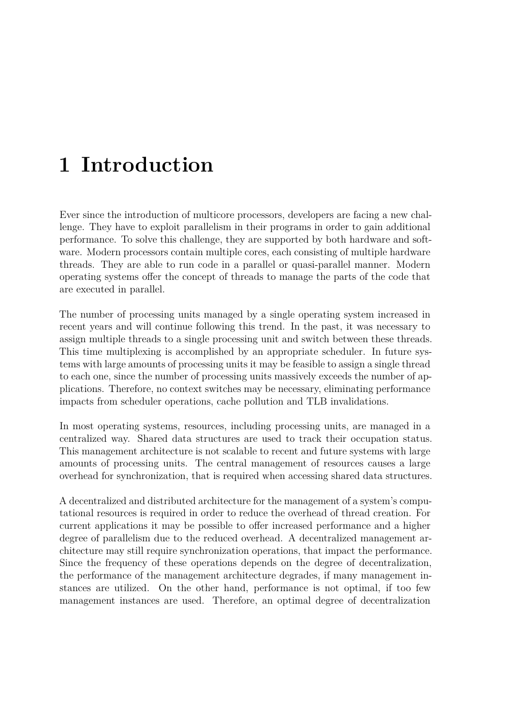# <span id="page-8-0"></span>**1 Introduction**

Ever since the introduction of multicore processors, developers are facing a new challenge. They have to exploit parallelism in their programs in order to gain additional performance. To solve this challenge, they are supported by both hardware and software. Modern processors contain multiple cores, each consisting of multiple hardware threads. They are able to run code in a parallel or quasi-parallel manner. Modern operating systems offer the concept of threads to manage the parts of the code that are executed in parallel.

The number of processing units managed by a single operating system increased in recent years and will continue following this trend. In the past, it was necessary to assign multiple threads to a single processing unit and switch between these threads. This time multiplexing is accomplished by an appropriate scheduler. In future systems with large amounts of processing units it may be feasible to assign a single thread to each one, since the number of processing units massively exceeds the number of applications. Therefore, no context switches may be necessary, eliminating performance impacts from scheduler operations, cache pollution and TLB invalidations.

In most operating systems, resources, including processing units, are managed in a centralized way. Shared data structures are used to track their occupation status. This management architecture is not scalable to recent and future systems with large amounts of processing units. The central management of resources causes a large overhead for synchronization, that is required when accessing shared data structures.

A decentralized and distributed architecture for the management of a system's computational resources is required in order to reduce the overhead of thread creation. For current applications it may be possible to offer increased performance and a higher degree of parallelism due to the reduced overhead. A decentralized management architecture may still require synchronization operations, that impact the performance. Since the frequency of these operations depends on the degree of decentralization, the performance of the management architecture degrades, if many management instances are utilized. On the other hand, performance is not optimal, if too few management instances are used. Therefore, an optimal degree of decentralization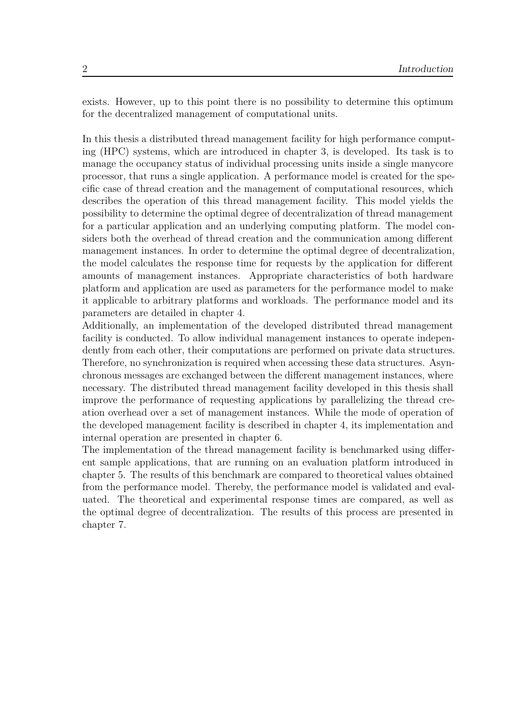exists. However, up to this point there is no possibility to determine this optimum for the decentralized management of computational units.

In this thesis a distributed thread management facility for high performance computing (HPC) systems, which are introduced in chapter 3, is developed. Its task is to manage the occupancy status of individual processing units inside a single manycore processor, that runs a single application. A performance model is created for the specific case of thread creation and the management of c[om](#page-14-0)putational resources, which describes the operation of this thread management facility. This model yields the possibility to determine the optimal degree of decentralization of thread management for a particular application and an underlying computing platform. The model considers both the overhead of thread creation and the communication among different management instances. In order to determine the optimal degree of decentralization, the model calculates the response time for requests by the application for different amounts of management instances. Appropriate characteristics of both hardware platform and application are used as parameters for the performance model to make it applicable to arbitrary platforms and workloads. The performance model and its parameters are detailed in chapter 4.

Additionally, an implementation of the developed distributed thread management facility is conducted. To allow individual management instances to operate independently from each other, their comp[ut](#page-20-0)ations are performed on private data structures. Therefore, no synchronization is required when accessing these data structures. Asynchronous messages are exchanged between the different management instances, where necessary. The distributed thread management facility developed in this thesis shall improve the performance of requesting applications by parallelizing the thread creation overhead over a set of management instances. While the mode of operation of the developed management facility is described in chapter 4, its implementation and internal operation are presented in chapter 6.

The implementation of the thread management facility is benchmarked using different sample applications, that are running on an evaluati[on](#page-20-0) platform introduced in chapter 5. The results of this benchmark ar[e c](#page-46-0)ompared to theoretical values obtained from the performance model. Thereby, the performance model is validated and evaluated. The theoretical and experimental response times are compared, as well as the opti[m](#page-40-0)al degree of decentralization. The results of this process are presented in chapter 7.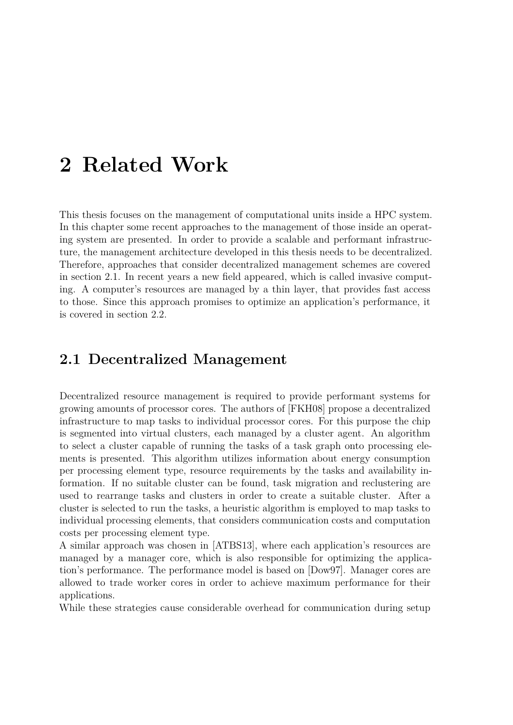# <span id="page-10-0"></span>**2 Related Work**

This thesis focuses on the management of computational units inside a HPC system. In this chapter some recent approaches to the management of those inside an operating system are presented. In order to provide a scalable and performant infrastructure, the management architecture developed in this thesis needs to be decentralized. Therefore, approaches that consider decentralized management schemes are covered in section 2.1. In recent years a new field appeared, which is called invasive computing. A computer's resources are managed by a thin layer, that provides fast access to those. Since this approach promises to optimize an application's performance, it is covered [in s](#page-10-1)ection 2.2.

## **2.1 Decentr[aliz](#page-12-0)ed Management**

<span id="page-10-1"></span>Decentralized resource management is required to provide performant systems for growing amounts of processor cores. The authors of [FKH08] propose a decentralized infrastructure to map tasks to individual processor cores. For this purpose the chip is segmented into virtual clusters, each managed by a cluster agent. An algorithm to select a cluster capable of running the tasks of a [task gr](#page-74-0)aph onto processing elements is presented. This algorithm utilizes information about energy consumption per processing element type, resource requirements by the tasks and availability information. If no suitable cluster can be found, task migration and reclustering are used to rearrange tasks and clusters in order to create a suitable cluster. After a cluster is selected to run the tasks, a heuristic algorithm is employed to map tasks to individual processing elements, that considers communication costs and computation costs per processing element type.

A similar approach was chosen in [ATBS13], where each application's resources are managed by a manager core, which is also responsible for optimizing the application's performance. The performance model is based on [Dow97]. Manager cores are allowed to trade worker cores in o[rder to a](#page-74-1)chieve maximum performance for their applications.

While these strategies cause considerable overhead for c[ommun](#page-74-2)ication during setup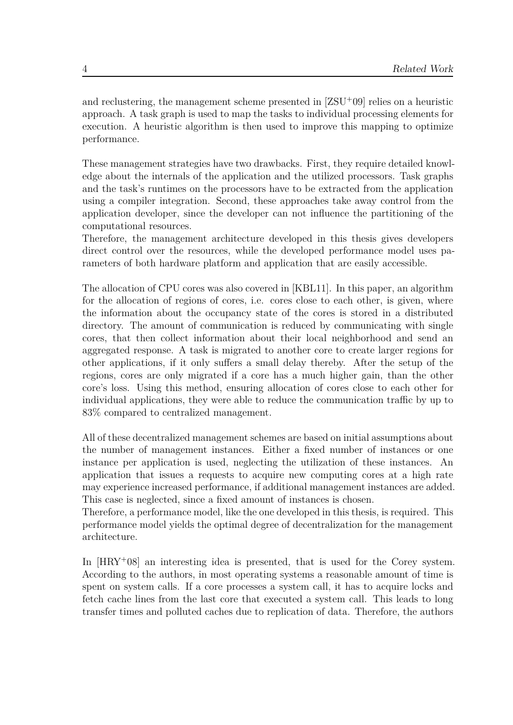and reclustering, the management scheme presented in  $[ZSU^+09]$  relies on a heuristic approach. A task graph is used to map the tasks to individual processing elements for execution. A heuristic algorithm is then used to improve this mapping to optimize performance.

These management strategies have two drawbacks. First, they require detailed knowledge about the internals of the application and the utilized processors. Task graphs and the task's runtimes on the processors have to be extracted from the application using a compiler integration. Second, these approaches take away control from the application developer, since the developer can not influence the partitioning of the computational resources.

Therefore, the management architecture developed in this thesis gives developers direct control over the resources, while the developed performance model uses parameters of both hardware platform and application that are easily accessible.

The allocation of CPU cores was also covered in [KBL11]. In this paper, an algorithm for the allocation of regions of cores, i.e. cores close to each other, is given, where the information about the occupancy state of the cores is stored in a distributed directory. The amount of communication is re[duced by](#page-75-0) communicating with single cores, that then collect information about their local neighborhood and send an aggregated response. A task is migrated to another core to create larger regions for other applications, if it only suffers a small delay thereby. After the setup of the regions, cores are only migrated if a core has a much higher gain, than the other core's loss. Using this method, ensuring allocation of cores close to each other for individual applications, they were able to reduce the communication traffic by up to 83% compared to centralized management.

All of these decentralized management schemes are based on initial assumptions about the number of management instances. Either a fixed number of instances or one instance per application is used, neglecting the utilization of these instances. An application that issues a requests to acquire new computing cores at a high rate may experience increased performance, if additional management instances are added. This case is neglected, since a fixed amount of instances is chosen.

Therefore, a performance model, like the one developed in this thesis, is required. This performance model yields the optimal degree of decentralization for the management architecture.

In  $[HRY+08]$  an interesting idea is presented, that is used for the Corey system. According to the authors, in most operating systems a reasonable amount of time is spent on system calls. If a core processes a system call, it has to acquire locks and fetc[h cache l](#page-75-1)ines from the last core that executed a system call. This leads to long transfer times and polluted caches due to replication of data. Therefore, the authors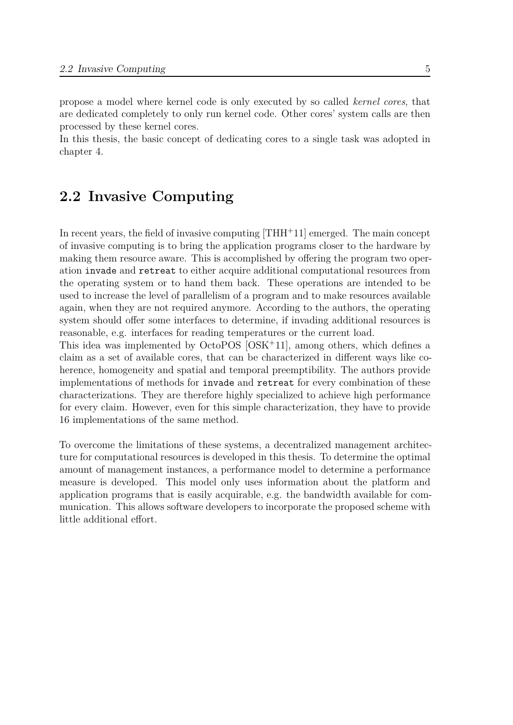propose a model where kernel code is only executed by so called *kernel cores*, that are dedicated completely to only run kernel code. Other cores' system calls are then processed by these kernel cores.

In this thesis, the basic concept of dedicating cores to a single task was adopted in chapter 4.

## **2.2 I[n](#page-20-0)vasive Computing**

<span id="page-12-0"></span>In recent years, the field of invasive computing  $[THH+11]$  emerged. The main concept of invasive computing is to bring the application programs closer to the hardware by making them resource aware. This is accomplished by offering the program two operation invade and retreat to either acquire ad[ditional c](#page-76-0)omputational resources from the operating system or to hand them back. These operations are intended to be used to increase the level of parallelism of a program and to make resources available again, when they are not required anymore. According to the authors, the operating system should offer some interfaces to determine, if invading additional resources is reasonable, e.g. interfaces for reading temperatures or the current load.

This idea was implemented by OctoPOS [OSK<sup>+</sup>11], among others, which defines a claim as a set of available cores, that can be characterized in different ways like coherence, homogeneity and spatial and temporal preemptibility. The authors provide implementations of methods for invade and [retrea](#page-75-2)t for every combination of these characterizations. They are therefore highly specialized to achieve high performance for every claim. However, even for this simple characterization, they have to provide 16 implementations of the same method.

To overcome the limitations of these systems, a decentralized management architecture for computational resources is developed in this thesis. To determine the optimal amount of management instances, a performance model to determine a performance measure is developed. This model only uses information about the platform and application programs that is easily acquirable, e.g. the bandwidth available for communication. This allows software developers to incorporate the proposed scheme with little additional effort.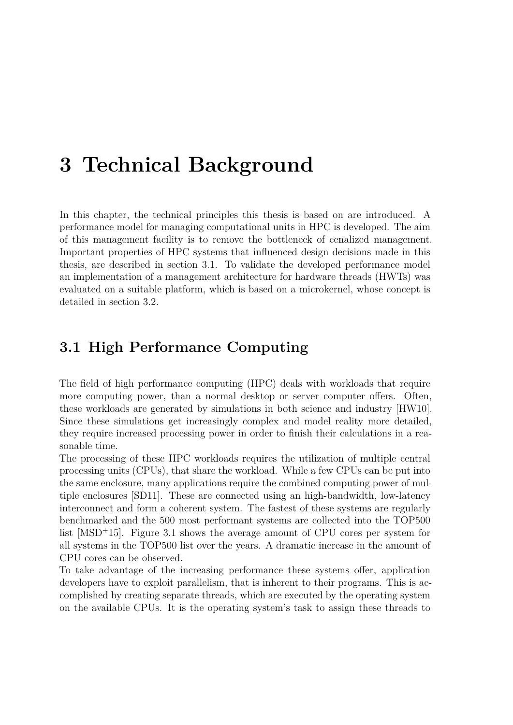# <span id="page-14-0"></span>**3 Technical Background**

In this chapter, the technical principles this thesis is based on are introduced. A performance model for managing computational units in HPC is developed. The aim of this management facility is to remove the bottleneck of cenalized management. Important properties of HPC systems that influenced design decisions made in this thesis, are described in section 3.1. To validate the developed performance model an implementation of a management architecture for hardware threads (HWTs) was evaluated on a suitable platform, which is based on a microkernel, whose concept is detailed in section 3.2.

## **3.1 High P[erf](#page-18-0)ormance Computing**

<span id="page-14-1"></span>The field of high performance computing (HPC) deals with workloads that require more computing power, than a normal desktop or server computer offers. Often, these workloads are generated by simulations in both science and industry [HW10]. Since these simulations get increasingly complex and model reality more detailed, they require increased processing power in order to finish their calculations in a reasonable time.

The processing of these HPC workloads requires the utilization of multiple [centra](#page-75-3)l processing units (CPUs), that share the workload. While a few CPUs can be put into the same enclosure, many applications require the combined computing power of multiple enclosures [SD11]. These are connected using an high-bandwidth, low-latency interconnect and form a coherent system. The fastest of these systems are regularly benchmarked and the 500 most performant systems are collected into the TOP500 list [MSD<sup>+</sup>15]. [Figure](#page-75-4) 3.1 shows the average amount of CPU cores per system for all systems in the TOP500 list over the years. A dramatic increase in the amount of CPU cores can be observed.

To t[ake adva](#page-75-5)ntage of [the](#page-15-0) increasing performance these systems offer, application developers have to exploit parallelism, that is inherent to their programs. This is accomplished by creating separate threads, which are executed by the operating system on the available CPUs. It is the operating system's task to assign these threads to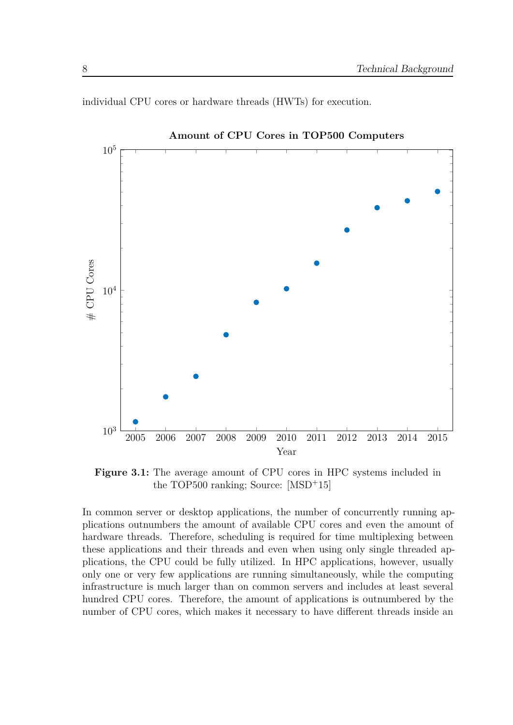<span id="page-15-0"></span>

individual CPU cores or hardware threads (HWTs) for execution.

**Amount of CPU Cores in TOP500 Computers**

**Figure 3.1:** The average amount of CPU cores in HPC systems included in the TOP500 ranking; Source: [MSD<sup>+</sup>15]

In common server or desktop applications, the number of concurrently running applications outnumbers the amount of availabl[e CPU co](#page-75-5)res and even the amount of hardware threads. Therefore, scheduling is required for time multiplexing between these applications and their threads and even when using only single threaded applications, the CPU could be fully utilized. In HPC applications, however, usually only one or very few applications are running simultaneously, while the computing infrastructure is much larger than on common servers and includes at least several hundred CPU cores. Therefore, the amount of applications is outnumbered by the number of CPU cores, which makes it necessary to have different threads inside an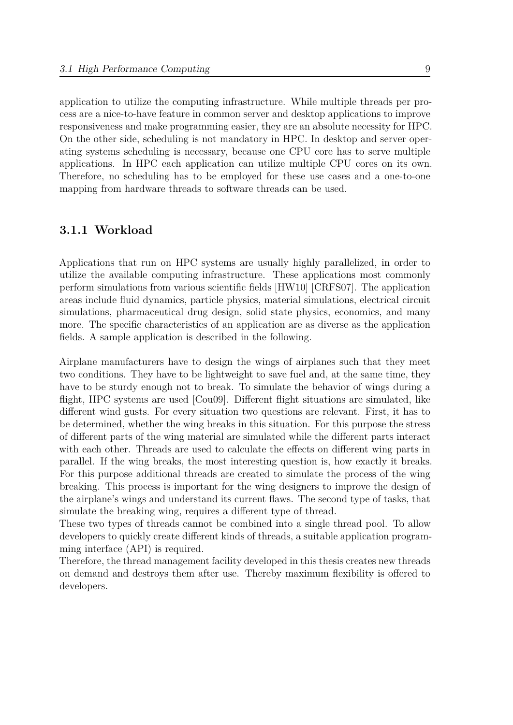application to utilize the computing infrastructure. While multiple threads per process are a nice-to-have feature in common server and desktop applications to improve responsiveness and make programming easier, they are an absolute necessity for HPC. On the other side, scheduling is not mandatory in HPC. In desktop and server operating systems scheduling is necessary, because one CPU core has to serve multiple applications. In HPC each application can utilize multiple CPU cores on its own. Therefore, no scheduling has to be employed for these use cases and a one-to-one mapping from hardware threads to software threads can be used.

#### **3.1.1 Workload**

<span id="page-16-0"></span>Applications that run on HPC systems are usually highly parallelized, in order to utilize the available computing infrastructure. These applications most commonly perform simulations from various scientific fields [HW10] [CRFS07]. The application areas include fluid dynamics, particle physics, material simulations, electrical circuit simulations, pharmaceutical drug design, solid state physics, economics, and many more. The specific characteristics of an applicati[on are a](#page-75-3)[s diverse](#page-74-3) as the application fields. A sample application is described in the following.

Airplane manufacturers have to design the wings of airplanes such that they meet two conditions. They have to be lightweight to save fuel and, at the same time, they have to be sturdy enough not to break. To simulate the behavior of wings during a flight, HPC systems are used [Cou09]. Different flight situations are simulated, like different wind gusts. For every situation two questions are relevant. First, it has to be determined, whether the wing breaks in this situation. For this purpose the stress of different parts of the wing [material](#page-74-4) are simulated while the different parts interact with each other. Threads are used to calculate the effects on different wing parts in parallel. If the wing breaks, the most interesting question is, how exactly it breaks. For this purpose additional threads are created to simulate the process of the wing breaking. This process is important for the wing designers to improve the design of the airplane's wings and understand its current flaws. The second type of tasks, that simulate the breaking wing, requires a different type of thread.

These two types of threads cannot be combined into a single thread pool. To allow developers to quickly create different kinds of threads, a suitable application programming interface (API) is required.

Therefore, the thread management facility developed in this thesis creates new threads on demand and destroys them after use. Thereby maximum flexibility is offered to developers.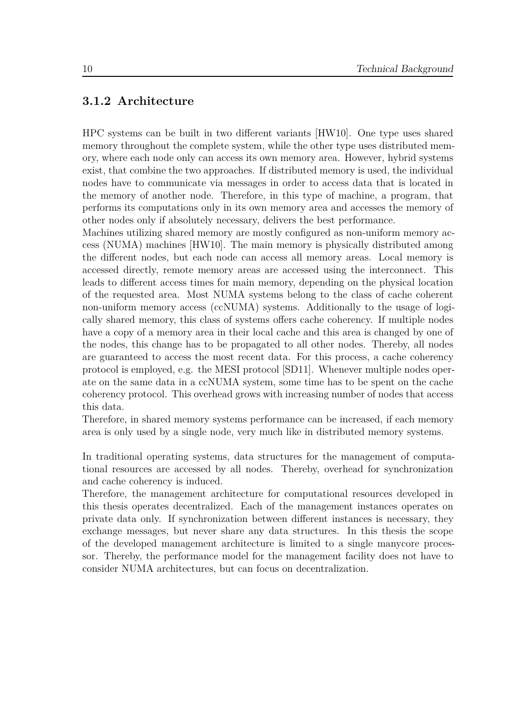#### **3.1.2 Architecture**

<span id="page-17-0"></span>HPC systems can be built in two different variants [HW10]. One type uses shared memory throughout the complete system, while the other type uses distributed memory, where each node only can access its own memory area. However, hybrid systems exist, that combine the two approaches. If distributed [memo](#page-75-3)ry is used, the individual nodes have to communicate via messages in order to access data that is located in the memory of another node. Therefore, in this type of machine, a program, that performs its computations only in its own memory area and accesses the memory of other nodes only if absolutely necessary, delivers the best performance.

Machines utilizing shared memory are mostly configured as non-uniform memory access (NUMA) machines [HW10]. The main memory is physically distributed among the different nodes, but each node can access all memory areas. Local memory is accessed directly, remote memory areas are accessed using the interconnect. This leads to different access [times fo](#page-75-3)r main memory, depending on the physical location of the requested area. Most NUMA systems belong to the class of cache coherent non-uniform memory access (ccNUMA) systems. Additionally to the usage of logically shared memory, this class of systems offers cache coherency. If multiple nodes have a copy of a memory area in their local cache and this area is changed by one of the nodes, this change has to be propagated to all other nodes. Thereby, all nodes are guaranteed to access the most recent data. For this process, a cache coherency protocol is employed, e.g. the MESI protocol [SD11]. Whenever multiple nodes operate on the same data in a ccNUMA system, some time has to be spent on the cache coherency protocol. This overhead grows with increasing number of nodes that access this data.

Therefore, in shared memory systems perform[ance c](#page-75-4)an be increased, if each memory area is only used by a single node, very much like in distributed memory systems.

In traditional operating systems, data structures for the management of computational resources are accessed by all nodes. Thereby, overhead for synchronization and cache coherency is induced.

Therefore, the management architecture for computational resources developed in this thesis operates decentralized. Each of the management instances operates on private data only. If synchronization between different instances is necessary, they exchange messages, but never share any data structures. In this thesis the scope of the developed management architecture is limited to a single manycore processor. Thereby, the performance model for the management facility does not have to consider NUMA architectures, but can focus on decentralization.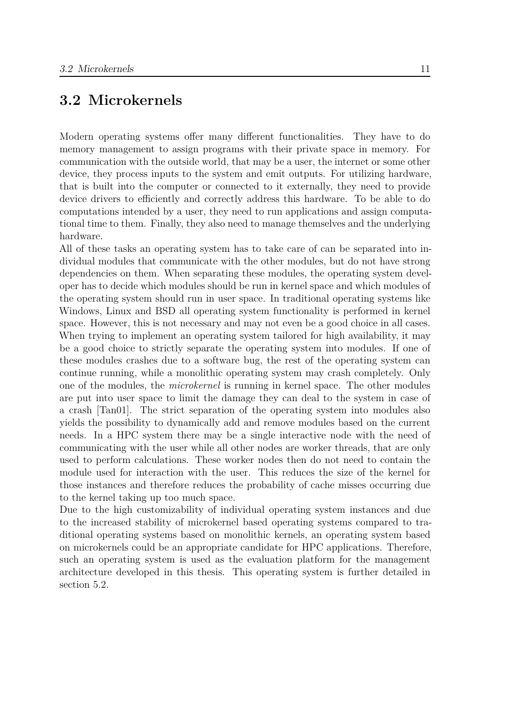## **3.2 Microkernels**

<span id="page-18-0"></span>Modern operating systems offer many different functionalities. They have to do memory management to assign programs with their private space in memory. For communication with the outside world, that may be a user, the internet or some other device, they process inputs to the system and emit outputs. For utilizing hardware, that is built into the computer or connected to it externally, they need to provide device drivers to efficiently and correctly address this hardware. To be able to do computations intended by a user, they need to run applications and assign computational time to them. Finally, they also need to manage themselves and the underlying hardware.

All of these tasks an operating system has to take care of can be separated into individual modules that communicate with the other modules, but do not have strong dependencies on them. When separating these modules, the operating system developer has to decide which modules should be run in kernel space and which modules of the operating system should run in user space. In traditional operating systems like Windows, Linux and BSD all operating system functionality is performed in kernel space. However, this is not necessary and may not even be a good choice in all cases. When trying to implement an operating system tailored for high availability, it may be a good choice to strictly separate the operating system into modules. If one of these modules crashes due to a software bug, the rest of the operating system can continue running, while a monolithic operating system may crash completely. Only one of the modules, the *microkernel* is running in kernel space. The other modules are put into user space to limit the damage they can deal to the system in case of a crash [Tan01]. The strict separation of the operating system into modules also yields the possibility to dynamically add and remove modules based on the current needs. In a HPC system there may be a single interactive node with the need of commun[icating](#page-75-6) with the user while all other nodes are worker threads, that are only used to perform calculations. These worker nodes then do not need to contain the module used for interaction with the user. This reduces the size of the kernel for those instances and therefore reduces the probability of cache misses occurring due to the kernel taking up too much space.

Due to the high customizability of individual operating system instances and due to the increased stability of microkernel based operating systems compared to traditional operating systems based on monolithic kernels, an operating system based on microkernels could be an appropriate candidate for HPC applications. Therefore, such an operating system is used as the evaluation platform for the management architecture developed in this thesis. This operating system is further detailed in section 5.2.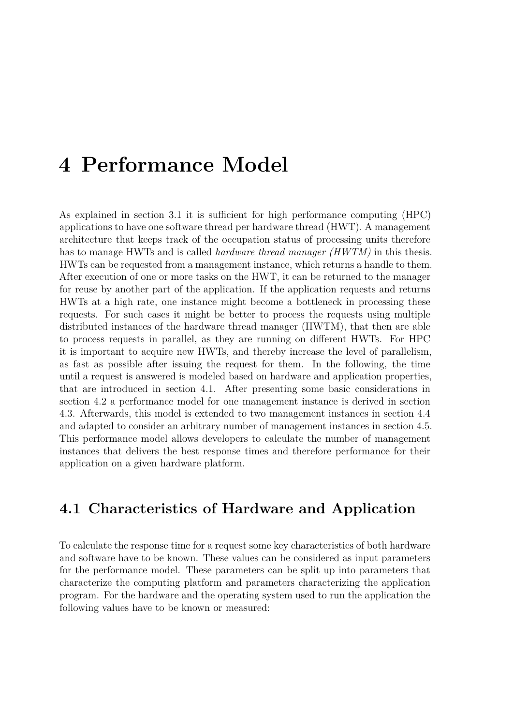# <span id="page-20-0"></span>**4 Performance Model**

As explained in section 3.1 it is sufficient for high performance computing (HPC) applications to have one software thread per hardware thread (HWT). A management architecture that keeps track of the occupation status of processing units therefore has to manage HWTs an[d is](#page-14-1) called *hardware thread manager (HWTM)* in this thesis. HWTs can be requested from a management instance, which returns a handle to them. After execution of one or more tasks on the HWT, it can be returned to the manager for reuse by another part of the application. If the application requests and returns HWTs at a high rate, one instance might become a bottleneck in processing these requests. For such cases it might be better to process the requests using multiple distributed instances of the hardware thread manager (HWTM), that then are able to process requests in parallel, as they are running on different HWTs. For HPC it is important to acquire new HWTs, and thereby increase the level of parallelism, as fast as possible after issuing the request for them. In the following, the time until a request is answered is modeled based on hardware and application properties, that are introduced in section 4.1. After presenting some basic considerations in section 4.2 a performance model for one management instance is derived in section 4.3. Afterwards, this model is extended to two management instances in section 4.4 and adapted to consider an arbi[trar](#page-20-1)y number of management instances in section 4.5. This pe[rfor](#page-22-0)mance model allows developers to calculate the number of management [inst](#page-23-0)ances that delivers the best response times and therefore performance for t[heir](#page-30-0) application on a given hardware platform.

## **4.1 Characteristics of Hardware and Application**

<span id="page-20-1"></span>To calculate the response time for a request some key characteristics of both hardware and software have to be known. These values can be considered as input parameters for the performance model. These parameters can be split up into parameters that characterize the computing platform and parameters characterizing the application program. For the hardware and the operating system used to run the application the following values have to be known or measured: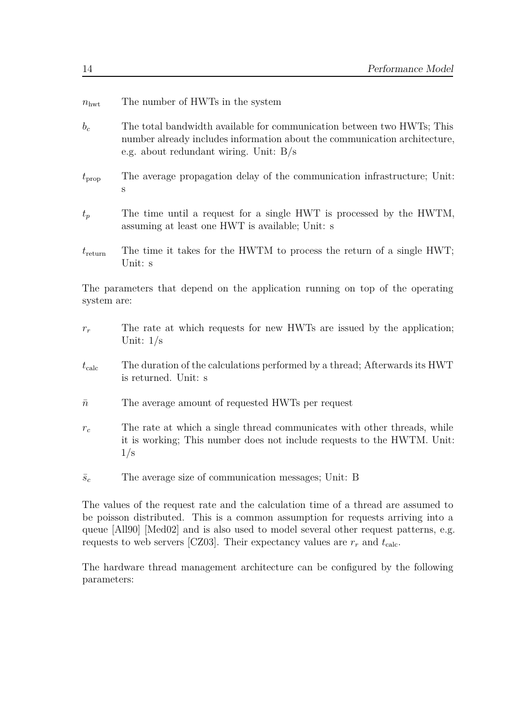| $n_{\rm hwt}$ | The number of HWTs in the system |  |  |  |  |
|---------------|----------------------------------|--|--|--|--|
|---------------|----------------------------------|--|--|--|--|

- *b<sup>c</sup>* The total bandwidth available for communication between two HWTs; This number already includes information about the communication architecture, e.g. about redundant wiring. Unit: B*/*s
- $t_{\rm prop}$  The average propagation delay of the communication infrastructure; Unit: s
- *t<sup>p</sup>* The time until a request for a single HWT is processed by the HWTM, assuming at least one HWT is available; Unit: s
- $t_{\text{return}}$  The time it takes for the HWTM to process the return of a single HWT; Unit: s

The parameters that depend on the application running on top of the operating system are:

- $r_r$  The rate at which requests for new HWTs are issued by the application; Unit: 1*/*s
- *t*calc The duration of the calculations performed by a thread; Afterwards its HWT is returned. Unit: s
- $\bar{n}$  The average amount of requested HWTs per request
- *r<sup>c</sup>* The rate at which a single thread communicates with other threads, while it is working; This number does not include requests to the HWTM. Unit: 1*/*s
- $\bar{s}_c$  The average size of communication messages; Unit: B

The values of the request rate and the calculation time of a thread are assumed to be poisson distributed. This is a common assumption for requests arriving into a queue [All90] [Med02] and is also used to model several other request patterns, e.g. requests to web servers [CZ03]. Their expectancy values are  $r_r$  and  $t_{\text{calc}}$ .

The ha[rdwar](#page-74-5)e [thread](#page-75-7) management architecture can be configured by the following parameters: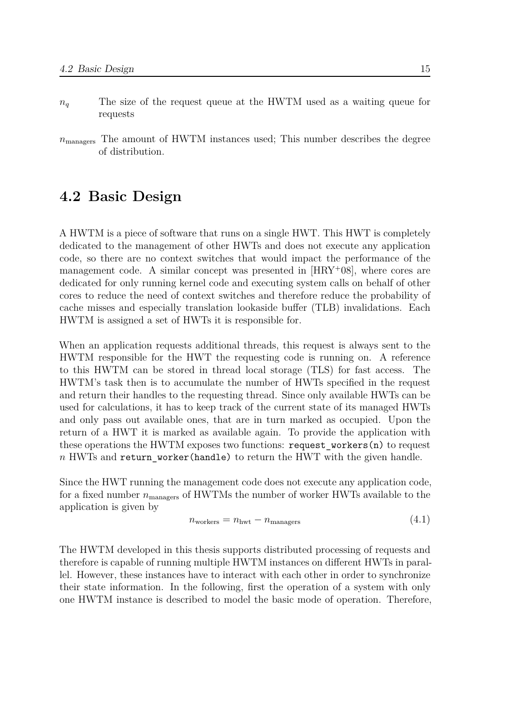- *n<sup>q</sup>* The size of the request queue at the HWTM used as a waiting queue for requests
- *n*managers The amount of HWTM instances used; This number describes the degree of distribution.

## **4.2 Basic Design**

<span id="page-22-0"></span>A HWTM is a piece of software that runs on a single HWT. This HWT is completely dedicated to the management of other HWTs and does not execute any application code, so there are no context switches that would impact the performance of the management code. A similar concept was presented in  $[HRY<sup>+</sup>08]$ , where cores are dedicated for only running kernel code and executing system calls on behalf of other cores to reduce the need of context switches and therefore reduce the probability of cache misses and especially translation lookaside buffer [\(TLB\)](#page-75-1) invalidations. Each HWTM is assigned a set of HWTs it is responsible for.

When an application requests additional threads, this request is always sent to the HWTM responsible for the HWT the requesting code is running on. A reference to this HWTM can be stored in thread local storage (TLS) for fast access. The HWTM's task then is to accumulate the number of HWTs specified in the request and return their handles to the requesting thread. Since only available HWTs can be used for calculations, it has to keep track of the current state of its managed HWTs and only pass out available ones, that are in turn marked as occupied. Upon the return of a HWT it is marked as available again. To provide the application with these operations the HWTM exposes two functions: request\_workers(n) to request *n* HWTs and return\_worker(handle) to return the HWT with the given handle.

Since the HWT running the management code does not execute any application code, for a fixed number  $n_{\text{managers}}$  of HWTMs the number of worker HWTs available to the application is given by

$$
n_{\text{workers}} = n_{\text{hwt}} - n_{\text{managers}} \tag{4.1}
$$

The HWTM developed in this thesis supports distributed processing of requests and therefore is capable of running multiple HWTM instances on different HWTs in parallel. However, these instances have to interact with each other in order to synchronize their state information. In the following, first the operation of a system with only one HWTM instance is described to model the basic mode of operation. Therefore,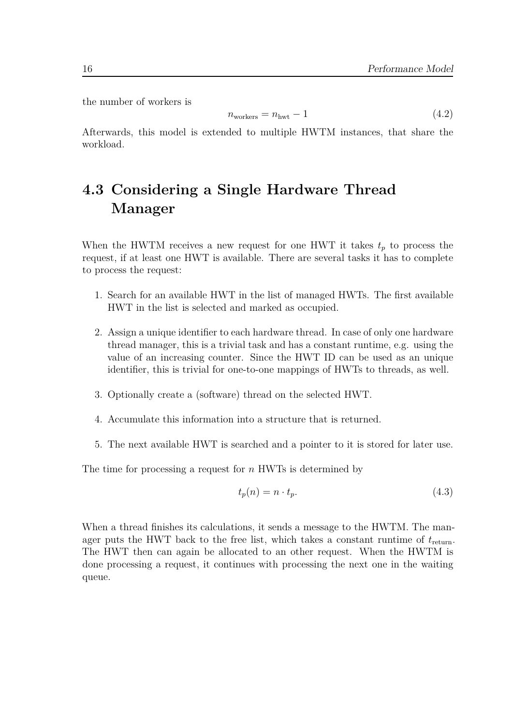the number of workers is

$$
n_{\text{workers}} = n_{\text{hwt}} - 1 \tag{4.2}
$$

Afterwards, this model is extended to multiple HWTM instances, that share the workload.

## <span id="page-23-0"></span>**4.3 Considering a Single Hardware Thread Manager**

When the HWTM receives a new request for one HWT it takes  $t_p$  to process the request, if at least one HWT is available. There are several tasks it has to complete to process the request:

- 1. Search for an available HWT in the list of managed HWTs. The first available HWT in the list is selected and marked as occupied.
- 2. Assign a unique identifier to each hardware thread. In case of only one hardware thread manager, this is a trivial task and has a constant runtime, e.g. using the value of an increasing counter. Since the HWT ID can be used as an unique identifier, this is trivial for one-to-one mappings of HWTs to threads, as well.
- 3. Optionally create a (software) thread on the selected HWT.
- 4. Accumulate this information into a structure that is returned.
- 5. The next available HWT is searched and a pointer to it is stored for later use.

The time for processing a request for *n* HWTs is determined by

$$
t_p(n) = n \cdot t_p. \tag{4.3}
$$

When a thread finishes its calculations, it sends a message to the HWTM. The manager puts the HWT back to the free list, which takes a constant runtime of  $t_{\text{return}}$ . The HWT then can again be allocated to an other request. When the HWTM is done processing a request, it continues with processing the next one in the waiting queue.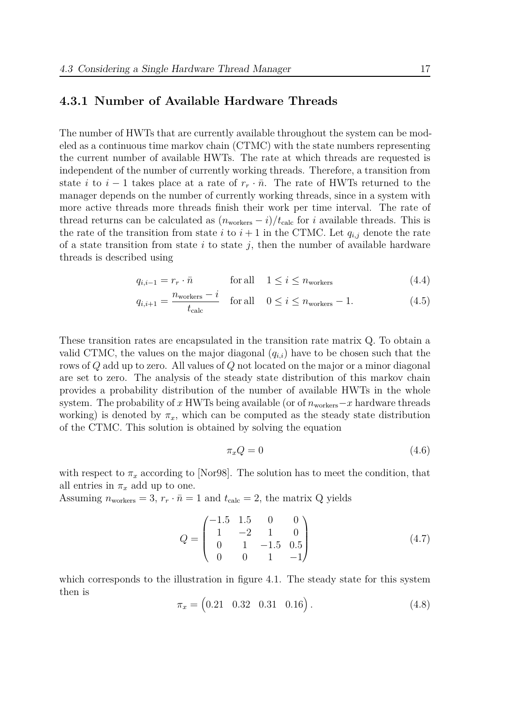#### **4.3.1 Number of Available Hardware Threads**

<span id="page-24-0"></span>The number of HWTs that are currently available throughout the system can be modeled as a continuous time markov chain (CTMC) with the state numbers representing the current number of available HWTs. The rate at which threads are requested is independent of the number of currently working threads. Therefore, a transition from state *i* to  $i - 1$  takes place at a rate of  $r_r \cdot \bar{n}$ . The rate of HWTs returned to the manager depends on the number of currently working threads, since in a system with more active threads more threads finish their work per time interval. The rate of thread returns can be calculated as  $(n_{\text{works}} - i)/t_{\text{calc}}$  for *i* available threads. This is the rate of the transition from state *i* to  $i + 1$  in the CTMC. Let  $q_{i,j}$  denote the rate of a state transition from state  $i$  to state  $j$ , then the number of available hardware threads is described using

$$
q_{i,i-1} = r_r \cdot \bar{n} \qquad \text{for all} \quad 1 \le i \le n_{\text{workers}} \tag{4.4}
$$

$$
q_{i,i+1} = \frac{n_{\text{works}} - i}{t_{\text{calc}}} \quad \text{for all} \quad 0 \le i \le n_{\text{works}} - 1. \tag{4.5}
$$

These transition rates are encapsulated in the transition rate matrix Q. To obtain a valid CTMC, the values on the major diagonal  $(q_{i,i})$  have to be chosen such that the rows of *Q* add up to zero. All values of *Q* not located on the major or a minor diagonal are set to zero. The analysis of the steady state distribution of this markov chain provides a probability distribution of the number of available HWTs in the whole system. The probability of *x* HWTs being available (or of  $n_{\text{worker}} - x$  hardware threads working) is denoted by  $\pi_x$ , which can be computed as the steady state distribution of the CTMC. This solution is obtained by solving the equation

$$
\pi_x Q = 0 \tag{4.6}
$$

with respect to  $\pi_x$  according to [Nor98]. The solution has to meet the condition, that all entries in  $\pi_x$  add up to one.

Assuming  $n_{\text{workers}} = 3$ ,  $r_r \cdot \bar{n} = 1$  and  $t_{\text{calc}} = 2$ , the matrix Q yields

$$
Q = \begin{pmatrix} -1.5 & 1.5 & 0 & 0 \\ 1 & -2 & 1 & 0 \\ 0 & 1 & -1.5 & 0.5 \\ 0 & 0 & 1 & -1 \end{pmatrix}
$$
 (4.7)

which corresponds to the illustration in figure 4.1. The steady state for this system then is

$$
\pi_x = \begin{pmatrix} 0.21 & 0.32 & 0.31 & 0.16 \end{pmatrix} . \tag{4.8}
$$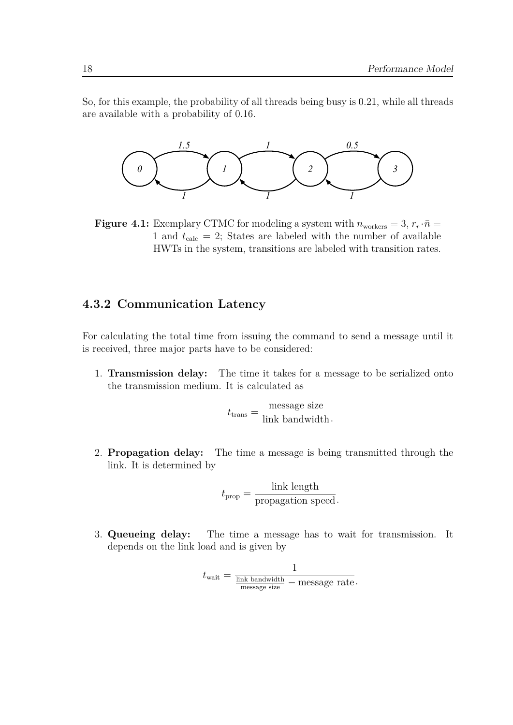So, for this example, the probability of all threads being busy is 0*.*21, while all threads are available with a probability of 0*.*16.



**Figure 4.1:** Exemplary CTMC for modeling a system with  $n_{\text{workers}} = 3, r_r \cdot \bar{n} =$ 1 and  $t_{\text{calc}} = 2$ ; States are labeled with the number of available HWTs in the system, transitions are labeled with transition rates.

### **4.3.2 Communication Latency**

<span id="page-25-0"></span>For calculating the total time from issuing the command to send a message until it is received, three major parts have to be considered:

1. **Transmission delay:** The time it takes for a message to be serialized onto the transmission medium. It is calculated as

$$
t_{\text{trans}} = \frac{\text{message size}}{\text{link bandwidth}}.
$$

2. **Propagation delay:** The time a message is being transmitted through the link. It is determined by

$$
t_{\text{prop}} = \frac{\text{link length}}{\text{propagation speed}}.
$$

3. **Queueing delay:** The time a message has to wait for transmission. It depends on the link load and is given by

$$
t_{\text{wait}} = \frac{1}{\frac{\text{link bandwidth}}{\text{message size}}} - \text{message rate}.
$$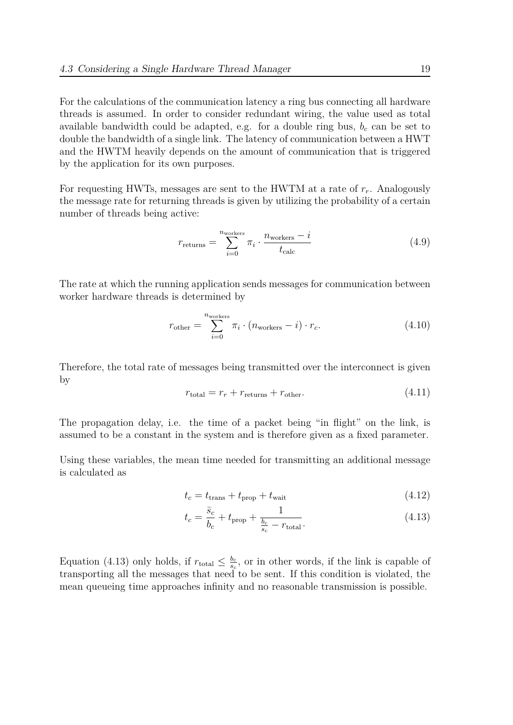For the calculations of the communication latency a ring bus connecting all hardware threads is assumed. In order to consider redundant wiring, the value used as total available bandwidth could be adapted, e.g. for a double ring bus,  $b<sub>c</sub>$  can be set to double the bandwidth of a single link. The latency of communication between a HWT and the HWTM heavily depends on the amount of communication that is triggered by the application for its own purposes.

For requesting HWTs, messages are sent to the HWTM at a rate of *rr*. Analogously the message rate for returning threads is given by utilizing the probability of a certain number of threads being active:

$$
r_{\text{returns}} = \sum_{i=0}^{n_{\text{works}}} \pi_i \cdot \frac{n_{\text{works}} - i}{t_{\text{calc}}}
$$
(4.9)

The rate at which the running application sends messages for communication between worker hardware threads is determined by

$$
r_{\text{other}} = \sum_{i=0}^{n_{\text{worker}}} \pi_i \cdot (n_{\text{worker}} - i) \cdot r_c.
$$
 (4.10)

Therefore, the total rate of messages being transmitted over the interconnect is given by

$$
r_{\text{total}} = r_r + r_{\text{returns}} + r_{\text{other}}.\tag{4.11}
$$

The propagation delay, i.e. the time of a packet being "in flight" on the link, is assumed to be a constant in the system and is therefore given as a fixed parameter.

Using these variables, the mean time needed for transmitting an additional message is calculated as

$$
t_c = t_{\text{trans}} + t_{\text{prop}} + t_{\text{wait}} \tag{4.12}
$$

$$
t_c = \frac{\bar{s}_c}{b_c} + t_{\text{prop}} + \frac{1}{\frac{b_c}{s_c} - r_{\text{total}}}.\tag{4.13}
$$

Equation (4.13) only holds, if  $r_{total} \leq \frac{b_c}{s_c}$  $\frac{b_c}{s_c}$ , or in other words, if the link is capable of transporting all the messages that need to be sent. If this condition is violated, the mean queueing time approaches infinity and no reasonable transmission is possible.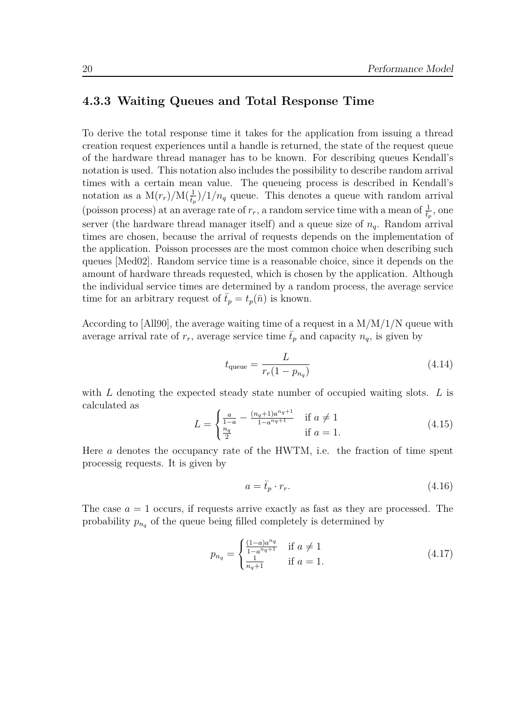#### **4.3.3 Waiting Queues and Total Response Time**

<span id="page-27-0"></span>To derive the total response time it takes for the application from issuing a thread creation request experiences until a handle is returned, the state of the request queue of the hardware thread manager has to be known. For describing queues Kendall's notation is used. This notation also includes the possibility to describe random arrival times with a certain mean value. The queueing process is described in Kendall's notation as a  $M(r_r)/M(\frac{1}{t_p})/1/n_q$  queue. This denotes a queue with random arrival (poisson process) at an average rate of  $r_r$ , a random service time with a mean of  $\frac{1}{t_p}$ , one server (the hardware thread manager itself) and a queue size of  $n_q$ . Random arrival times are chosen, because the arrival of requests depends on the implementation of the application. Poisson processes are the most common choice when describing such queues [Med02]. Random service time is a reasonable choice, since it depends on the amount of hardware threads requested, which is chosen by the application. Although the individual service times are determined by a random process, the average service time for [an arb](#page-75-7)itrary request of  $\bar{t}_p = t_p(\bar{n})$  is known.

According to  $[AII90]$ , the average waiting time of a request in a  $M/M/1/N$  queue with average arrival rate of  $r_r$ , average service time  $t_p$  and capacity  $n_q$ , is given by

$$
t_{\text{queue}} = \frac{L}{r_r(1 - p_{n_q})} \tag{4.14}
$$

with *L* denoting the expected steady state number of occupied waiting slots. *L* is calculated as

$$
L = \begin{cases} \frac{a}{1-a} - \frac{(n_q+1)a^{n_q+1}}{1-a^{n_q+1}} & \text{if } a \neq 1\\ \frac{n_q}{2} & \text{if } a = 1. \end{cases}
$$
 (4.15)

Here *a* denotes the occupancy rate of the HWTM, i.e. the fraction of time spent processig requests. It is given by

$$
a = \bar{t}_p \cdot r_r. \tag{4.16}
$$

The case  $a = 1$  occurs, if requests arrive exactly as fast as they are processed. The probability  $p_{n_q}$  of the queue being filled completely is determined by

$$
p_{n_q} = \begin{cases} \frac{(1-a)a^{n_q}}{1-a^{n_q+1}} & \text{if } a \neq 1\\ \frac{1}{n_q+1} & \text{if } a = 1. \end{cases}
$$
 (4.17)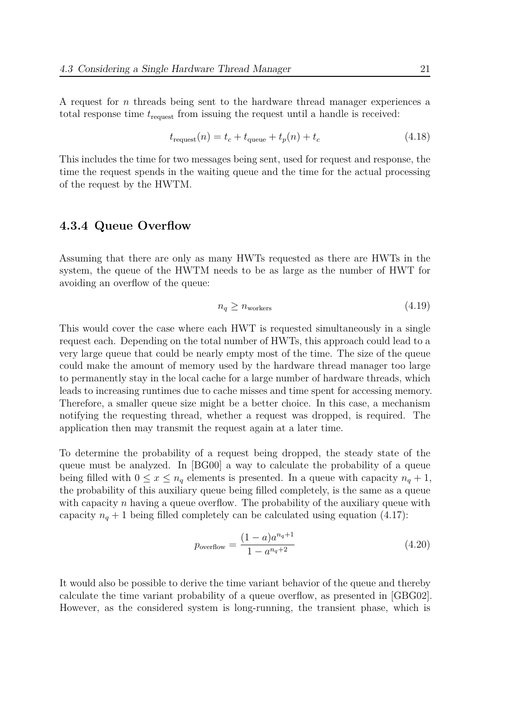A request for *n* threads being sent to the hardware thread manager experiences a total response time *t*request from issuing the request until a handle is received:

$$
t_{\text{request}}(n) = t_c + t_{\text{queue}} + t_p(n) + t_c \tag{4.18}
$$

This includes the time for two messages being sent, used for request and response, the time the request spends in the waiting queue and the time for the actual processing of the request by the HWTM.

#### **4.3.4 Queue Overflow**

<span id="page-28-0"></span>Assuming that there are only as many HWTs requested as there are HWTs in the system, the queue of the HWTM needs to be as large as the number of HWT for avoiding an overflow of the queue:

<span id="page-28-1"></span>
$$
n_q \ge n_{\text{workers}} \tag{4.19}
$$

This would cover the case where each HWT is requested simultaneously in a single request each. Depending on the total number of HWTs, this approach could lead to a very large queue that could be nearly empty most of the time. The size of the queue could make the amount of memory used by the hardware thread manager too large to permanently stay in the local cache for a large number of hardware threads, which leads to increasing runtimes due to cache misses and time spent for accessing memory. Therefore, a smaller queue size might be a better choice. In this case, a mechanism notifying the requesting thread, whether a request was dropped, is required. The application then may transmit the request again at a later time.

To determine the probability of a request being dropped, the steady state of the queue must be analyzed. In [BG00] a way to calculate the probability of a queue being filled with  $0 \le x \le n_q$  elements is presented. In a queue with capacity  $n_q + 1$ , the probability of this auxiliary queue being filled completely, is the same as a queue with capacity *n* having a queu[e overfl](#page-74-6)ow. The probability of the auxiliary queue with capacity  $n_q + 1$  being filled completely can be calculated using equation (4.17):

$$
p_{\text{overflow}} = \frac{(1-a)a^{n_q+1}}{1 - a^{n_q+2}} \tag{4.20}
$$

It would also be possible to derive the time variant behavior of the queue and thereby calculate the time variant probability of a queue overflow, as presented in [GBG02]. However, as the considered system is long-running, the transient phase, which is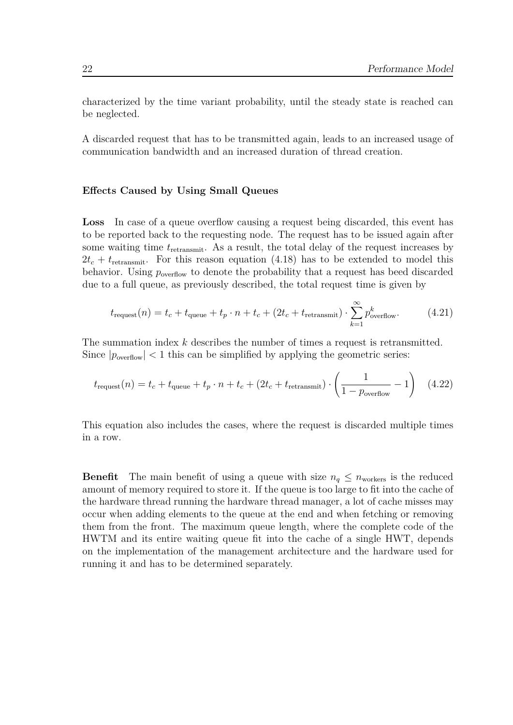characterized by the time variant probability, until the steady state is reached can be neglected.

A discarded request that has to be transmitted again, leads to an increased usage of communication bandwidth and an increased duration of thread creation.

#### **Effects Caused by Using Small Queues**

**Loss** In case of a queue overflow causing a request being discarded, this event has to be reported back to the requesting node. The request has to be issued again after some waiting time *t*retransmit. As a result, the total delay of the request increases by  $2t_c + t_{\text{retransmit}}$ . For this reason equation (4.18) has to be extended to model this behavior. Using  $p_{\text{overflow}}$  to denote the probability that a request has beed discarded due to a full queue, as previously described, the total request time is given by

$$
t_{\text{request}}(n) = t_c + t_{\text{queue}} + t_p \cdot n + t_c + (2t_c + t_{\text{retransmit}}) \cdot \sum_{k=1}^{\infty} p_{\text{overflow}}^k.
$$
 (4.21)

The summation index *k* describes the number of times a request is retransmitted. Since  $|p_{\text{overflow}}|$  < 1 this can be simplified by applying the geometric series:

$$
t_{\text{request}}(n) = t_c + t_{\text{queue}} + t_p \cdot n + t_c + (2t_c + t_{\text{retransmit}}) \cdot \left(\frac{1}{1 - p_{\text{overflow}}} - 1\right) \tag{4.22}
$$

<span id="page-29-0"></span>This equation also includes the cases, where the request is discarded multiple times in a row.

**Benefit** The main benefit of using a queue with size  $n_q \leq n_{\text{workers}}$  is the reduced amount of memory required to store it. If the queue is too large to fit into the cache of the hardware thread running the hardware thread manager, a lot of cache misses may occur when adding elements to the queue at the end and when fetching or removing them from the front. The maximum queue length, where the complete code of the HWTM and its entire waiting queue fit into the cache of a single HWT, depends on the implementation of the management architecture and the hardware used for running it and has to be determined separately.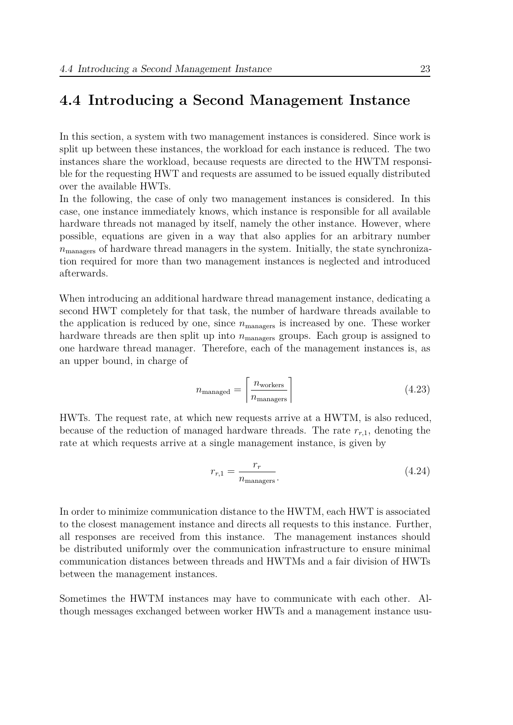## **4.4 Introducing a Second Management Instance**

<span id="page-30-0"></span>In this section, a system with two management instances is considered. Since work is split up between these instances, the workload for each instance is reduced. The two instances share the workload, because requests are directed to the HWTM responsible for the requesting HWT and requests are assumed to be issued equally distributed over the available HWTs.

In the following, the case of only two management instances is considered. In this case, one instance immediately knows, which instance is responsible for all available hardware threads not managed by itself, namely the other instance. However, where possible, equations are given in a way that also applies for an arbitrary number  $n_{\text{managers}}$  of hardware thread managers in the system. Initially, the state synchronization required for more than two management instances is neglected and introduced afterwards.

When introducing an additional hardware thread management instance, dedicating a second HWT completely for that task, the number of hardware threads available to the application is reduced by one, since  $n_{\text{managers}}$  is increased by one. These worker hardware threads are then split up into  $n_{\text{managers}}$  groups. Each group is assigned to one hardware thread manager. Therefore, each of the management instances is, as an upper bound, in charge of

$$
n_{\text{managed}} = \left\lceil \frac{n_{\text{works}}}{n_{\text{managers}}} \right\rceil \tag{4.23}
$$

HWTs. The request rate, at which new requests arrive at a HWTM, is also reduced, because of the reduction of managed hardware threads. The rate *rr,*1, denoting the rate at which requests arrive at a single management instance, is given by

$$
r_{r,1} = \frac{r_r}{n_{\text{managers}}}.\tag{4.24}
$$

In order to minimize communication distance to the HWTM, each HWT is associated to the closest management instance and directs all requests to this instance. Further, all responses are received from this instance. The management instances should be distributed uniformly over the communication infrastructure to ensure minimal communication distances between threads and HWTMs and a fair division of HWTs between the management instances.

Sometimes the HWTM instances may have to communicate with each other. Although messages exchanged between worker HWTs and a management instance usu-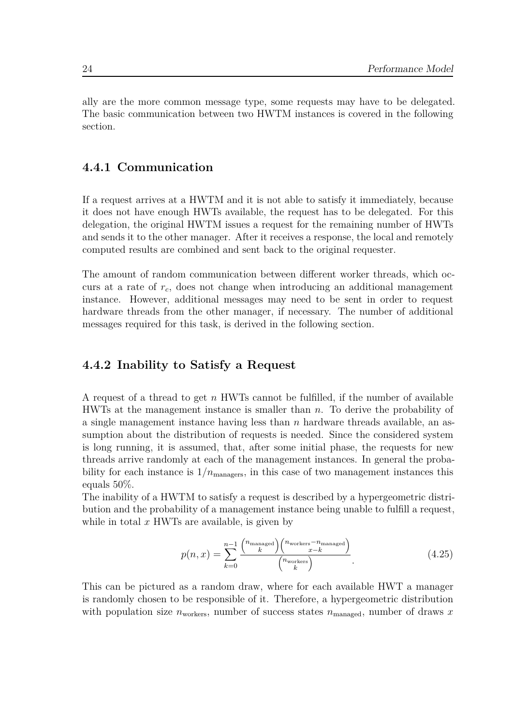ally are the more common message type, some requests may have to be delegated. The basic communication between two HWTM instances is covered in the following section.

### **4.4.1 Communication**

<span id="page-31-0"></span>If a request arrives at a HWTM and it is not able to satisfy it immediately, because it does not have enough HWTs available, the request has to be delegated. For this delegation, the original HWTM issues a request for the remaining number of HWTs and sends it to the other manager. After it receives a response, the local and remotely computed results are combined and sent back to the original requester.

The amount of random communication between different worker threads, which occurs at a rate of *rc*, does not change when introducing an additional management instance. However, additional messages may need to be sent in order to request hardware threads from the other manager, if necessary. The number of additional messages required for this task, is derived in the following section.

#### **4.4.2 Inability to Satisfy a Request**

<span id="page-31-1"></span>A request of a thread to get *n* HWTs cannot be fulfilled, if the number of available HWTs at the management instance is smaller than *n*. To derive the probability of a single management instance having less than *n* hardware threads available, an assumption about the distribution of requests is needed. Since the considered system is long running, it is assumed, that, after some initial phase, the requests for new threads arrive randomly at each of the management instances. In general the probability for each instance is  $1/n_{\text{managers}}$ , in this case of two management instances this equals 50%.

The inability of a HWTM to satisfy a request is described by a hypergeometric distribution and the probability of a management instance being unable to fulfill a request, while in total *x* HWTs are available, is given by

$$
p(n,x) = \sum_{k=0}^{n-1} \frac{\binom{n_{\text{maxaged}}}{k} \binom{n_{\text{worker}} - n_{\text{managed}}}{x-k}}{\binom{n_{\text{worker}}}{k}}.
$$
(4.25)

This can be pictured as a random draw, where for each available HWT a manager is randomly chosen to be responsible of it. Therefore, a hypergeometric distribution with population size  $n_{\text{workers}}$ , number of success states  $n_{\text{managerd}}$ , number of draws *x*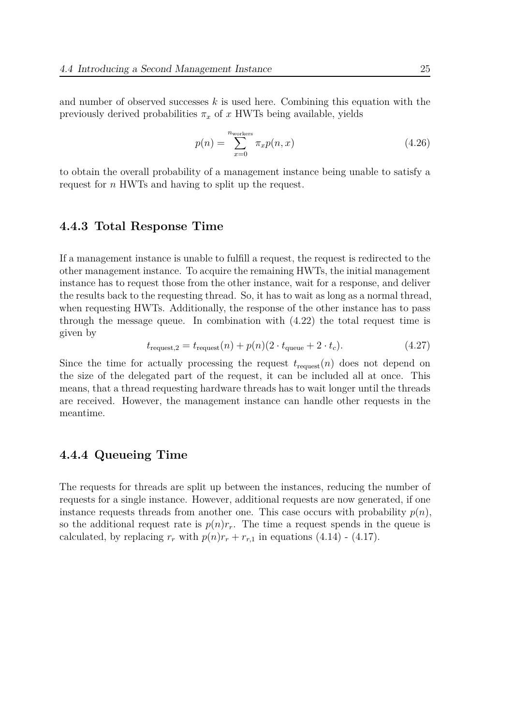and number of observed successes *k* is used here. Combining this equation with the previously derived probabilities  $\pi_x$  of *x* HWTs being available, yields

$$
p(n) = \sum_{x=0}^{n_{\text{works}}} \pi_x p(n, x) \tag{4.26}
$$

to obtain the overall probability of a management instance being unable to satisfy a request for *n* HWTs and having to split up the request.

#### **4.4.3 Total Response Time**

<span id="page-32-0"></span>If a management instance is unable to fulfill a request, the request is redirected to the other management instance. To acquire the remaining HWTs, the initial management instance has to request those from the other instance, wait for a response, and deliver the results back to the requesting thread. So, it has to wait as long as a normal thread, when requesting HWTs. Additionally, the response of the other instance has to pass through the message queue. In combination with (4.22) the total request time is given by

$$
t_{\text{request},2} = t_{\text{request}}(n) + p(n)(2 \cdot t_{\text{queue}} + 2 \cdot t_c). \tag{4.27}
$$

Since the time for actually processing the [requ](#page-29-0)est  $t_{\text{request}}(n)$  does not depend on the size of the delegated part of the request, it can be included all at once. This means, that a thread requesting hardware threads has to wait longer until the threads are received. However, the management instance can handle other requests in the meantime.

#### **4.4.4 Queueing Time**

<span id="page-32-1"></span>The requests for threads are split up between the instances, reducing the number of requests for a single instance. However, additional requests are now generated, if one instance requests threads from another one. This case occurs with probability  $p(n)$ , so the additional request rate is  $p(n)r_r$ . The time a request spends in the queue is calculated, by replacing  $r_r$  with  $p(n)r_r + r_{r,1}$  in equations (4.14) - (4.17).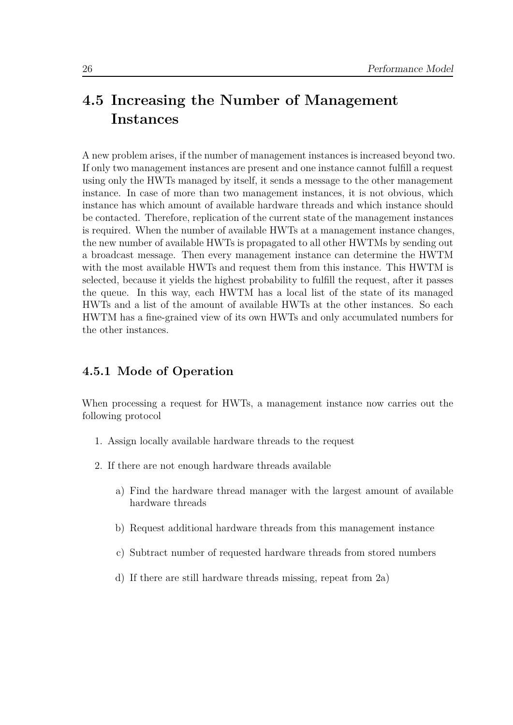## **4.5 Increasing the Number of Management Instances**

<span id="page-33-0"></span>A new problem arises, if the number of management instances is increased beyond two. If only two management instances are present and one instance cannot fulfill a request using only the HWTs managed by itself, it sends a message to the other management instance. In case of more than two management instances, it is not obvious, which instance has which amount of available hardware threads and which instance should be contacted. Therefore, replication of the current state of the management instances is required. When the number of available HWTs at a management instance changes, the new number of available HWTs is propagated to all other HWTMs by sending out a broadcast message. Then every management instance can determine the HWTM with the most available HWTs and request them from this instance. This HWTM is selected, because it yields the highest probability to fulfill the request, after it passes the queue. In this way, each HWTM has a local list of the state of its managed HWTs and a list of the amount of available HWTs at the other instances. So each HWTM has a fine-grained view of its own HWTs and only accumulated numbers for the other instances.

#### **4.5.1 Mode of Operation**

<span id="page-33-1"></span>When processing a request for HWTs, a management instance now carries out the following protocol

- 1. Assign locally available hardware threads to the request
- 2. If there are not enough hardware threads available
	- a) Find the hardware thread manager with the largest amount of available hardware threads
	- b) Request additional hardware threads from this management instance
	- c) Subtract number of requested hardware threads from stored numbers
	- d) If there are still hardware threads missing, repeat from 2a)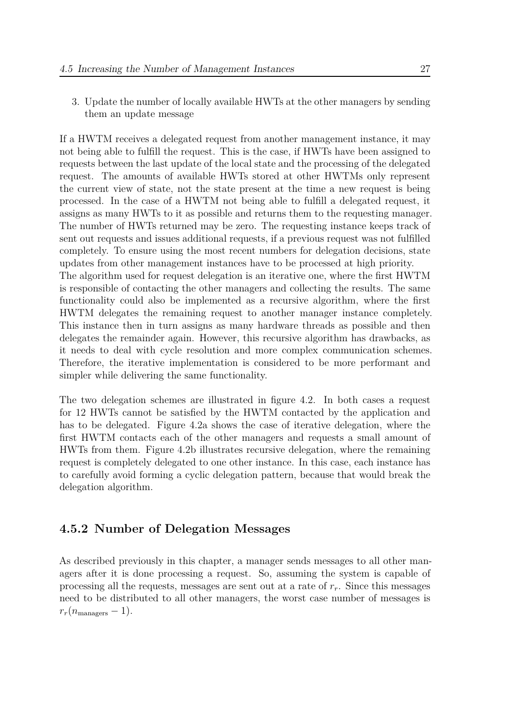3. Update the number of locally available HWTs at the other managers by sending them an update message

If a HWTM receives a delegated request from another management instance, it may not being able to fulfill the request. This is the case, if HWTs have been assigned to requests between the last update of the local state and the processing of the delegated request. The amounts of available HWTs stored at other HWTMs only represent the current view of state, not the state present at the time a new request is being processed. In the case of a HWTM not being able to fulfill a delegated request, it assigns as many HWTs to it as possible and returns them to the requesting manager. The number of HWTs returned may be zero. The requesting instance keeps track of sent out requests and issues additional requests, if a previous request was not fulfilled completely. To ensure using the most recent numbers for delegation decisions, state updates from other management instances have to be processed at high priority.

The algorithm used for request delegation is an iterative one, where the first HWTM is responsible of contacting the other managers and collecting the results. The same functionality could also be implemented as a recursive algorithm, where the first HWTM delegates the remaining request to another manager instance completely. This instance then in turn assigns as many hardware threads as possible and then delegates the remainder again. However, this recursive algorithm has drawbacks, as it needs to deal with cycle resolution and more complex communication schemes. Therefore, the iterative implementation is considered to be more performant and simpler while delivering the same functionality.

The two delegation schemes are illustrated in figure 4.2. In both cases a request for 12 HWTs cannot be satisfied by the HWTM contacted by the application and has to be delegated. Figure 4.2a shows the case of iterative delegation, where the first HWTM contacts each of the other managers an[d re](#page-35-0)quests a small amount of HWTs from them. Figure 4.2b illustrates recursive delegation, where the remaining request is completely delegat[ed to](#page-35-0) one other instance. In this case, each instance has to carefully avoid forming a cyclic delegation pattern, because that would break the delegation algorithm.

#### **4.5.2 Number of Delegation Messages**

<span id="page-34-0"></span>As described previously in this chapter, a manager sends messages to all other managers after it is done processing a request. So, assuming the system is capable of processing all the requests, messages are sent out at a rate of *rr*. Since this messages need to be distributed to all other managers, the worst case number of messages is  $r_r(n_{\text{managers}} - 1)$ .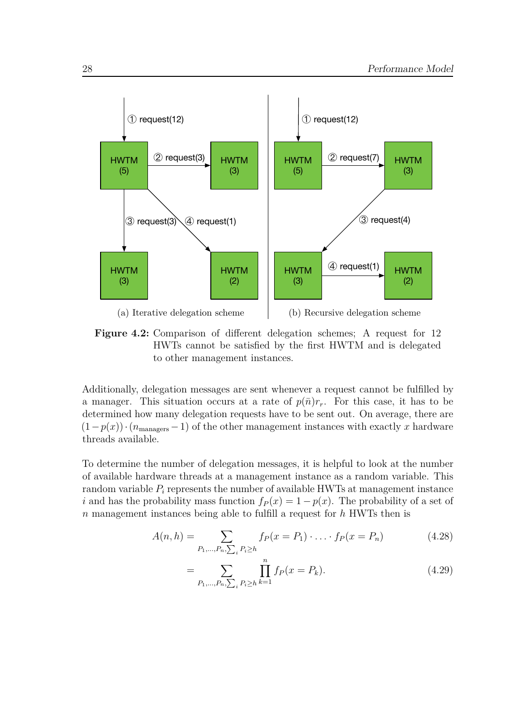<span id="page-35-0"></span>

**Figure 4.2:** Comparison of different delegation schemes; A request for 12 HWTs cannot be satisfied by the first HWTM and is delegated to other management instances.

Additionally, delegation messages are sent whenever a request cannot be fulfilled by a manager. This situation occurs at a rate of  $p(\bar{n})r_r$ . For this case, it has to be determined how many delegation requests have to be sent out. On average, there are  $(1-p(x)) \cdot (n_{\text{managers}} - 1)$  of the other management instances with exactly *x* hardware threads available.

To determine the number of delegation messages, it is helpful to look at the number of available hardware threads at a management instance as a random variable. This random variable *P<sup>i</sup>* represents the number of available HWTs at management instance *i* and has the probability mass function  $f_P(x) = 1 - p(x)$ . The probability of a set of *n* management instances being able to fulfill a request for *h* HWTs then is

$$
A(n,h) = \sum_{P_1,\dots,P_n,\sum_i P_i \ge h} f_P(x = P_1) \cdot \dots \cdot f_P(x = P_n)
$$
 (4.28)

$$
= \sum_{P_1,\dots,P_n,\sum_i P_i \ge h} \prod_{k=1}^n f_P(x = P_k). \tag{4.29}
$$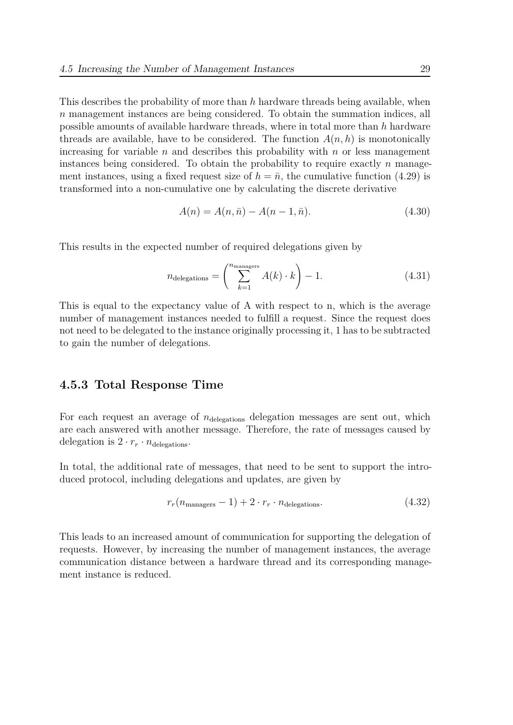This describes the probability of more than *h* hardware threads being available, when *n* management instances are being considered. To obtain the summation indices, all possible amounts of available hardware threads, where in total more than *h* hardware threads are available, have to be considered. The function  $A(n, h)$  is monotonically increasing for variable *n* and describes this probability with *n* or less management instances being considered. To obtain the probability to require exactly *n* management instances, using a fixed request size of  $h = \bar{n}$ , the cumulative function (4.29) is transformed into a non-cumulative one by calculating the discrete derivative

$$
A(n) = A(n, \bar{n}) - A(n - 1, \bar{n}).
$$
\n(4.30)

This results in the expected number of required delegations given by

$$
n_{\text{delegations}} = \left(\sum_{k=1}^{n_{\text{managers}}} A(k) \cdot k\right) - 1. \tag{4.31}
$$

This is equal to the expectancy value of A with respect to n, which is the average number of management instances needed to fulfill a request. Since the request does not need to be delegated to the instance originally processing it, 1 has to be subtracted to gain the number of delegations.

#### **4.5.3 Total Response Time**

For each request an average of  $n_{\text{delegations}}$  delegation messages are sent out, which are each answered with another message. Therefore, the rate of messages caused by delegation is  $2 \cdot r_r \cdot n_{\text{delegations}}$ .

In total, the additional rate of messages, that need to be sent to support the introduced protocol, including delegations and updates, are given by

$$
r_r(n_{\text{managers}} - 1) + 2 \cdot r_r \cdot n_{\text{delegations}}.\tag{4.32}
$$

This leads to an increased amount of communication for supporting the delegation of requests. However, by increasing the number of management instances, the average communication distance between a hardware thread and its corresponding management instance is reduced.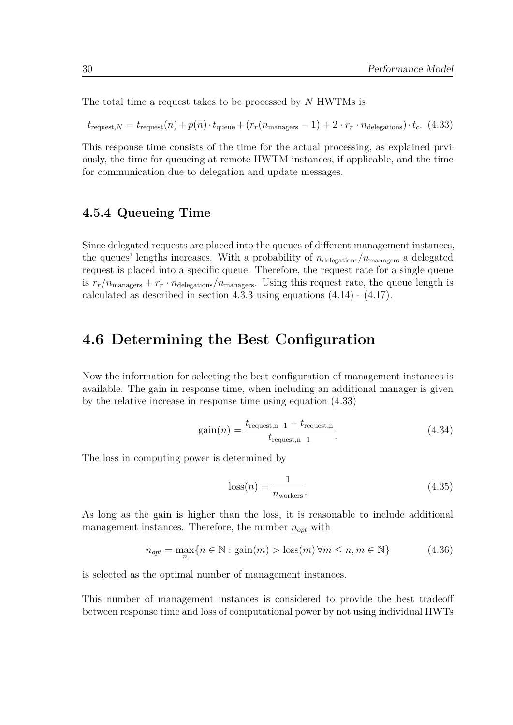The total time a request takes to be processed by *N* HWTMs is

$$
t_{\text{request},N} = t_{\text{request}}(n) + p(n) \cdot t_{\text{queue}} + (r_r(n_{\text{managers}} - 1) + 2 \cdot r_r \cdot n_{\text{delegations}}) \cdot t_c. \tag{4.33}
$$

<span id="page-37-0"></span>This response time consists of the time for the actual processing, as explained prviously, the time for queueing at remote HWTM instances, if applicable, and the time for communication due to delegation and update messages.

#### **4.5.4 Queueing Time**

Since delegated requests are placed into the queues of different management instances, the queues' lengths increases. With a probability of  $n_{\text{delegations}}/n_{\text{managers}}$  a delegated request is placed into a specific queue. Therefore, the request rate for a single queue is  $r_r/n_{\text{managers}} + r_r \cdot n_{\text{delegations}}/n_{\text{managers}}$ . Using this request rate, the queue length is calculated as described in section 4.3.3 using equations (4.14) - (4.17).

## **4.6 Determining the [Be](#page-27-0)st Config[urat](#page-27-1)io[n](#page-27-2)**

Now the information for selecting the best configuration of management instances is available. The gain in response time, when including an additional manager is given by the relative increase in response time using equation (4.33)

$$
gain(n) = \frac{t_{\text{request},n-1} - t_{\text{request},n}}{t_{\text{request},n-1}}.
$$
\n(4.34)

The loss in computing power is determined by

$$
loss(n) = \frac{1}{n_{\text{worker}}}. \tag{4.35}
$$

As long as the gain is higher than the loss, it is reasonable to include additional management instances. Therefore, the number  $n_{opt}$  with

<span id="page-37-1"></span>
$$
n_{opt} = \max_{n} \{ n \in \mathbb{N} : \text{gain}(m) > \text{loss}(m) \,\forall m \le n, m \in \mathbb{N} \} \tag{4.36}
$$

is selected as the optimal number of management instances.

This number of management instances is considered to provide the best tradeoff between response time and loss of computational power by not using individual HWTs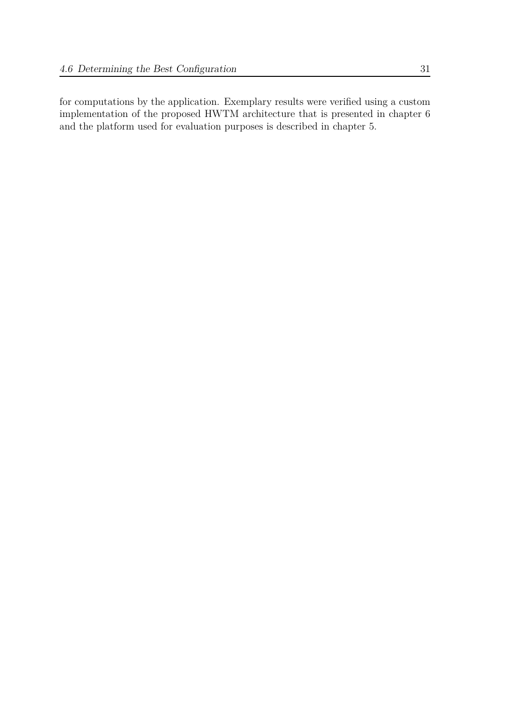for computations by the application. Exemplary results were verified using a custom implementation of the proposed HWTM architecture that is presented in chapter 6 and the platform used for evaluation purposes is described in chapter 5.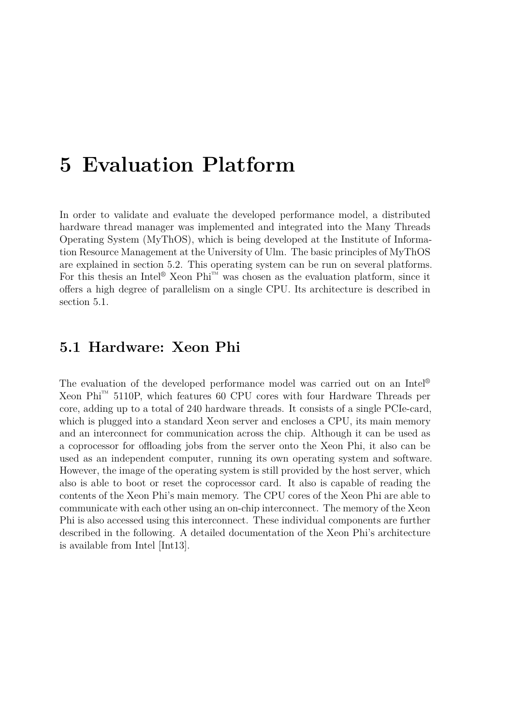# <span id="page-40-1"></span>**5 Evaluation Platform**

In order to validate and evaluate the developed performance model, a distributed hardware thread manager was implemented and integrated into the Many Threads Operating System (MyThOS), which is being developed at the Institute of Information Resource Management at the University of Ulm. The basic principles of MyThOS are explained in section 5.2. This operating system can be run on several platforms. For this thesis an Intel<sup>®</sup> Xeon Phi<sup>™</sup> was chosen as the evaluation platform, since it offers a high degree of parallelism on a single CPU. Its architecture is described in section 5.1.

# **5.1 [Ha](#page-40-0)rdware: Xeon Phi**

<span id="page-40-0"></span>The evaluation of the developed performance model was carried out on an Intel® Xeon Phi<sup>™</sup> 5110P, which features 60 CPU cores with four Hardware Threads per core, adding up to a total of 240 hardware threads. It consists of a single PCIe-card, which is plugged into a standard Xeon server and encloses a CPU, its main memory and an interconnect for communication across the chip. Although it can be used as a coprocessor for offloading jobs from the server onto the Xeon Phi, it also can be used as an independent computer, running its own operating system and software. However, the image of the operating system is still provided by the host server, which also is able to boot or reset the coprocessor card. It also is capable of reading the contents of the Xeon Phi's main memory. The CPU cores of the Xeon Phi are able to communicate with each other using an on-chip interconnect. The memory of the Xeon Phi is also accessed using this interconnect. These individual components are further described in the following. A detailed documentation of the Xeon Phi's architecture is available from Intel [Int13].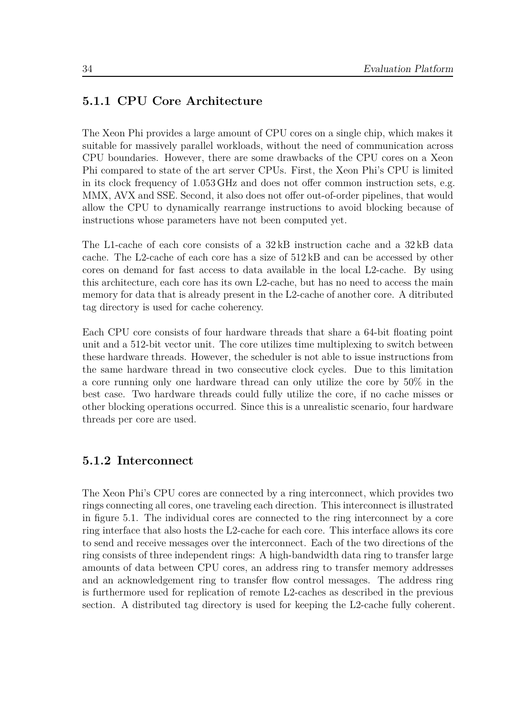### **5.1.1 CPU Core Architecture**

The Xeon Phi provides a large amount of CPU cores on a single chip, which makes it suitable for massively parallel workloads, without the need of communication across CPU boundaries. However, there are some drawbacks of the CPU cores on a Xeon Phi compared to state of the art server CPUs. First, the Xeon Phi's CPU is limited in its clock frequency of 1.053 GHz and does not offer common instruction sets, e.g. MMX, AVX and SSE. Second, it also does not offer out-of-order pipelines, that would allow the CPU to dynamically rearrange instructions to avoid blocking because of instructions whose parameters have not been computed yet.

The L1-cache of each core consists of a 32 kB instruction cache and a 32 kB data cache. The L2-cache of each core has a size of  $512 \text{ kB}$  and can be accessed by other cores on demand for fast access to data available in the local L2-cache. By using this architecture, each core has its own L2-cache, but has no need to access the main memory for data that is already present in the L2-cache of another core. A ditributed tag directory is used for cache coherency.

Each CPU core consists of four hardware threads that share a 64-bit floating point unit and a 512-bit vector unit. The core utilizes time multiplexing to switch between these hardware threads. However, the scheduler is not able to issue instructions from the same hardware thread in two consecutive clock cycles. Due to this limitation a core running only one hardware thread can only utilize the core by 50% in the best case. Two hardware threads could fully utilize the core, if no cache misses or other blocking operations occurred. Since this is a unrealistic scenario, four hardware threads per core are used.

### **5.1.2 Interconnect**

The Xeon Phi's CPU cores are connected by a ring interconnect, which provides two rings connecting all cores, one traveling each direction. This interconnect is illustrated in figure 5.1. The individual cores are connected to the ring interconnect by a core ring interface that also hosts the L2-cache for each core. This interface allows its core to send and receive messages over the interconnect. Each of the two directions of the ring cons[ists](#page-42-0) of three independent rings: A high-bandwidth data ring to transfer large amounts of data between CPU cores, an address ring to transfer memory addresses and an acknowledgement ring to transfer flow control messages. The address ring is furthermore used for replication of remote L2-caches as described in the previous section. A distributed tag directory is used for keeping the L2-cache fully coherent.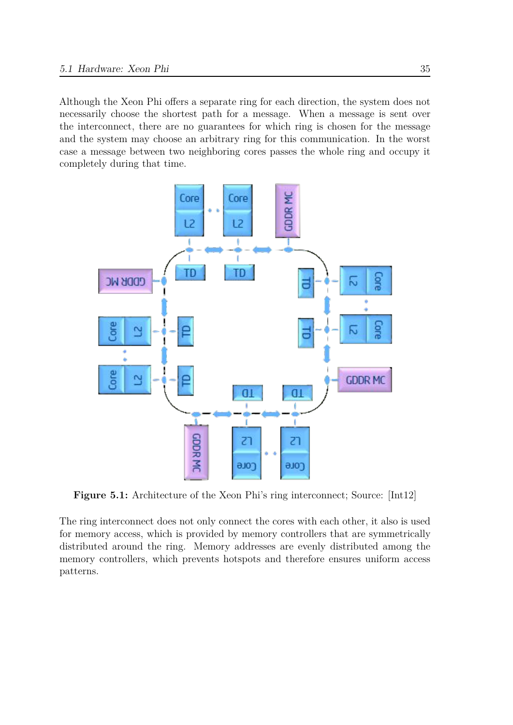Although the Xeon Phi offers a separate ring for each direction, the system does not necessarily choose the shortest path for a message. When a message is sent over the interconnect, there are no guarantees for which ring is chosen for the message and the system may choose an arbitrary ring for this communication. In the worst case a message between two neighboring cores passes the whole ring and occupy it completely during that time.

<span id="page-42-0"></span>

**Figure 5.1:** Architecture of the Xeon Phi's ring interconnect; Source: [Int12]

The ring interconnect does not only connect the cores with each other, it also is used for memory access, which is provided by memory controllers that are sym[metric](#page-75-0)ally distributed around the ring. Memory addresses are evenly distributed among the memory controllers, which prevents hotspots and therefore ensures uniform access patterns.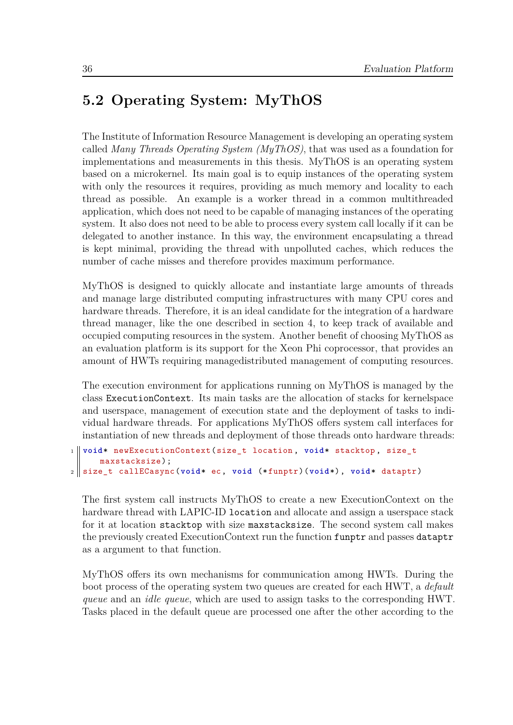# **5.2 Operating System: MyThOS**

<span id="page-43-0"></span>The Institute of Information Resource Management is developing an operating system called *Many Threads Operating System (MyThOS)*, that was used as a foundation for implementations and measurements in this thesis. MyThOS is an operating system based on a microkernel. Its main goal is to equip instances of the operating system with only the resources it requires, providing as much memory and locality to each thread as possible. An example is a worker thread in a common multithreaded application, which does not need to be capable of managing instances of the operating system. It also does not need to be able to process every system call locally if it can be delegated to another instance. In this way, the environment encapsulating a thread is kept minimal, providing the thread with unpolluted caches, which reduces the number of cache misses and therefore provides maximum performance.

MyThOS is designed to quickly allocate and instantiate large amounts of threads and manage large distributed computing infrastructures with many CPU cores and hardware threads. Therefore, it is an ideal candidate for the integration of a hardware thread manager, like the one described in section 4, to keep track of available and occupied computing resources in the system. Another benefit of choosing MyThOS as an evaluation platform is its support for the Xeon Phi coprocessor, that provides an amount of HWTs requiring managedistributed ma[na](#page-20-0)gement of computing resources.

The execution environment for applications running on MyThOS is managed by the class ExecutionContext. Its main tasks are the allocation of stacks for kernelspace and userspace, management of execution state and the deployment of tasks to individual hardware threads. For applications MyThOS offers system call interfaces for instantiation of new threads and deployment of those threads onto hardware threads:

```
1 void* newExecutionContext(size_t location , void* stacktop , size_t
     maxstacksize);
2 size_t callECasync(void* ec, void (*funptr)(void*), void* dataptr)
```
The first system call instructs MyThOS to create a new ExecutionContext on the hardware thread with LAPIC-ID location and allocate and assign a userspace stack for it at location stacktop with size maxstacksize. The second system call makes the previously created ExecutionContext run the function funptr and passes dataptr as a argument to that function.

MyThOS offers its own mechanisms for communication among HWTs. During the boot process of the operating system two queues are created for each HWT, a *default queue* and an *idle queue*, which are used to assign tasks to the corresponding HWT. Tasks placed in the default queue are processed one after the other according to the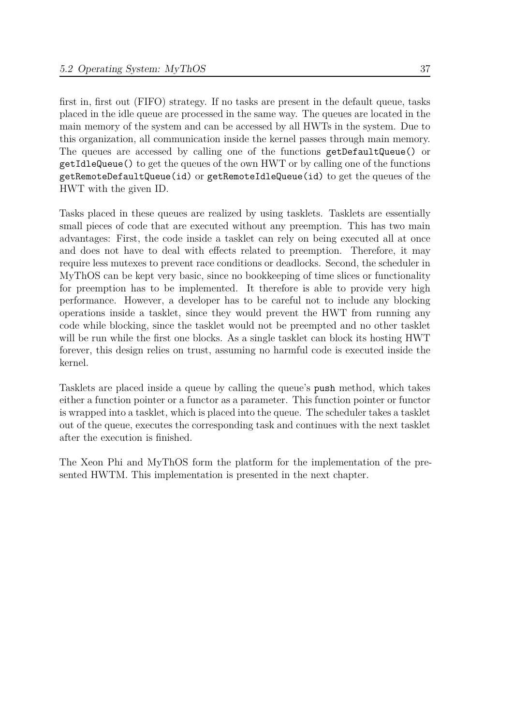first in, first out (FIFO) strategy. If no tasks are present in the default queue, tasks placed in the idle queue are processed in the same way. The queues are located in the main memory of the system and can be accessed by all HWTs in the system. Due to this organization, all communication inside the kernel passes through main memory. The queues are accessed by calling one of the functions getDefaultQueue() or getIdleQueue() to get the queues of the own HWT or by calling one of the functions getRemoteDefaultQueue(id) or getRemoteIdleQueue(id) to get the queues of the HWT with the given ID.

Tasks placed in these queues are realized by using tasklets. Tasklets are essentially small pieces of code that are executed without any preemption. This has two main advantages: First, the code inside a tasklet can rely on being executed all at once and does not have to deal with effects related to preemption. Therefore, it may require less mutexes to prevent race conditions or deadlocks. Second, the scheduler in MyThOS can be kept very basic, since no bookkeeping of time slices or functionality for preemption has to be implemented. It therefore is able to provide very high performance. However, a developer has to be careful not to include any blocking operations inside a tasklet, since they would prevent the HWT from running any code while blocking, since the tasklet would not be preempted and no other tasklet will be run while the first one blocks. As a single tasklet can block its hosting HWT forever, this design relies on trust, assuming no harmful code is executed inside the kernel.

Tasklets are placed inside a queue by calling the queue's push method, which takes either a function pointer or a functor as a parameter. This function pointer or functor is wrapped into a tasklet, which is placed into the queue. The scheduler takes a tasklet out of the queue, executes the corresponding task and continues with the next tasklet after the execution is finished.

The Xeon Phi and MyThOS form the platform for the implementation of the presented HWTM. This implementation is presented in the next chapter.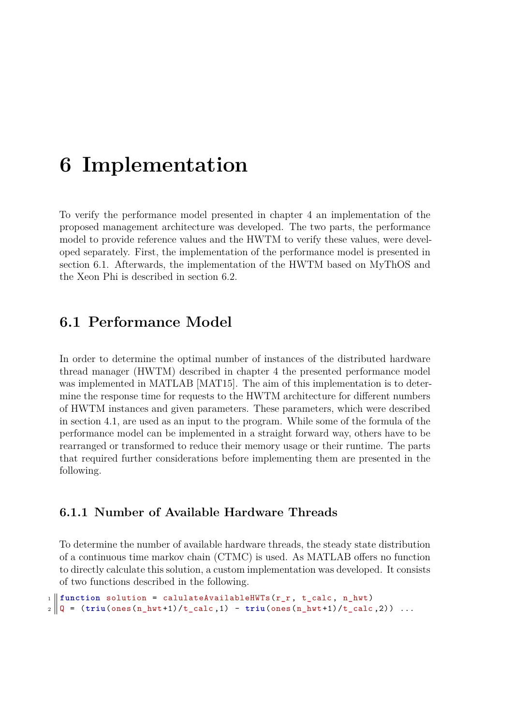# <span id="page-46-1"></span>**6 Implementation**

To verify the performance model presented in chapter 4 an implementation of the proposed management architecture was developed. The two parts, the performance model to provide reference values and the HWTM to verify these values, were developed separately. First, the implementation of the perfor[m](#page-20-0)ance model is presented in section 6.1. Afterwards, the implementation of the HWTM based on MyThOS and the Xeon Phi is described in section 6.2.

# **6.1 Performance Mod[el](#page-51-0)**

<span id="page-46-0"></span>In order to determine the optimal number of instances of the distributed hardware thread manager (HWTM) described in chapter 4 the presented performance model was implemented in MATLAB [MAT15]. The aim of this implementation is to determine the response time for requests to the HWTM architecture for different numbers of HWTM instances and given parameters. The[se](#page-20-0) parameters, which were described in section 4.1, are used as an in[put to th](#page-75-1)e program. While some of the formula of the performance model can be implemented in a straight forward way, others have to be rearranged or transformed to reduce their memory usage or their runtime. The parts that requi[red](#page-20-1) further considerations before implementing them are presented in the following.

#### **6.1.1 Number of Available Hardware Threads**

To determine the number of available hardware threads, the steady state distribution of a continuous time markov chain (CTMC) is used. As MATLAB offers no function to directly calculate this solution, a custom implementation was developed. It consists of two functions described in the following.

```
1 \parallel function solution = calulateAvailableHWTs(r_r, t<sub>calc</sub>, n<sub>_hwt</sub>)
2 \parallel Q = (triu(\text{ones}(n_hwt+1)/t_{calc}calc,1) - triu(\text{ones}(n_hwt+1)/t_{calc}calc,2)) \dots
```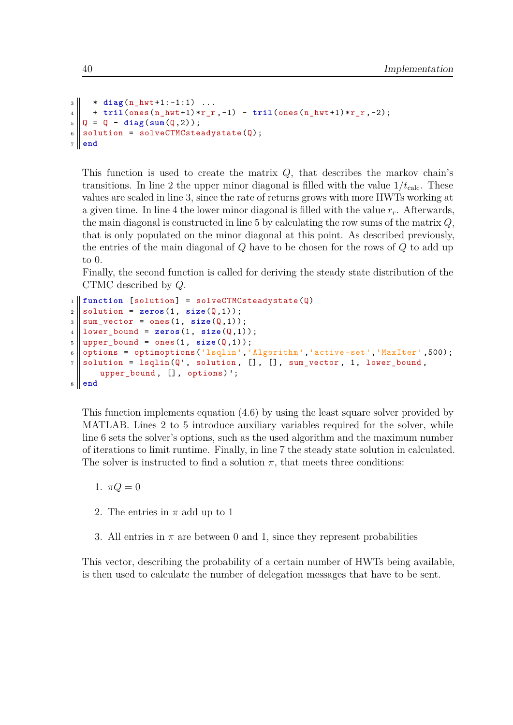```
3 \parallel * diag(n_hwt+1:-1:1) \dots4 + tril(ones(n_hwt+1)*r_r ,-1) - tril(ones(n_hwt+1)*r_r ,-2);
5 \|\mathsf{Q} = \mathsf{Q} - \text{diag}(\text{sum}(\mathsf{Q}, 2));6 \parallel solution = solveCTMCsteadystate(Q);
7 end
```
This function is used to create the matrix *Q*, that describes the markov chain's transitions. In line 2 the upper minor diagonal is filled with the value  $1/t_{\text{calc}}$ . These values are scaled in line 3, since the rate of returns grows with more HWTs working at a given time. In line 4 the lower minor diagonal is filled with the value *rr*. Afterwards, the main diagonal is constructed in line 5 by calculating the row sums of the matrix *Q*, that is only populated on the minor diagonal at this point. As described previously, the entries of the main diagonal of *Q* have to be chosen for the rows of *Q* to add up to 0.

Finally, the second function is called for deriving the steady state distribution of the CTMC described by *Q*.

```
\parallel 1 \parallel function [solution] = solveCTMCsteadystate(Q)
2 \parallel solution = zeros(1, size(Q,1));
3 \parallel sum\_vector = ones(1, size(Q,1));4 lower_bound = zeros(1, size(Q,1));
5 \parallel upper\_bound = ones(1, size(Q,1));6 options = optimoptions ('lsqlin','Algorithm','active-set','MaxIter',500);
7 \parallel solution = lsqlin(Q', solution, [], [], sum_vector, 1, lower_bound,
      upper_bound , [], options)';
  8 end
```
This function implements equation (4.6) by using the least square solver provided by MATLAB. Lines 2 to 5 introduce auxiliary variables required for the solver, while line 6 sets the solver's options, such as the used algorithm and the maximum number of iterations to limit runtime. Finall[y, in](#page-24-0) line 7 the steady state solution in calculated. The solver is instructed to find a solution  $\pi$ , that meets three conditions:

1.  $\pi Q = 0$ 

- 2. The entries in  $\pi$  add up to 1
- 3. All entries in  $\pi$  are between 0 and 1, since they represent probabilities

This vector, describing the probability of a certain number of HWTs being available, is then used to calculate the number of delegation messages that have to be sent.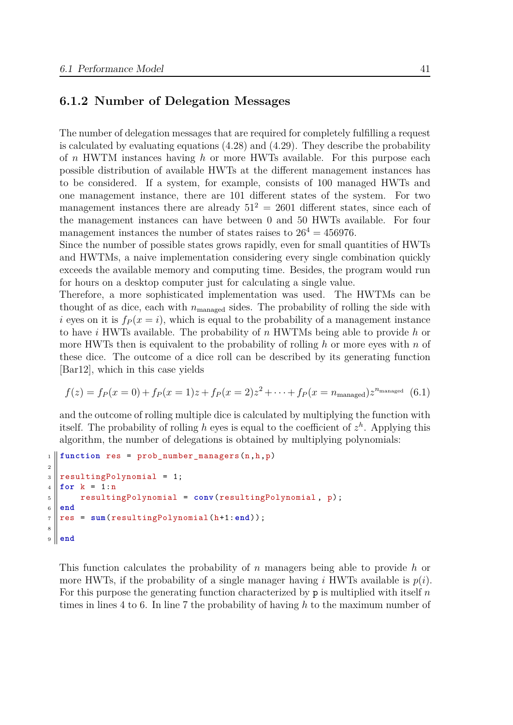#### **6.1.2 Number of Delegation Messages**

The number of delegation messages that are required for completely fulfilling a request is calculated by evaluating equations (4.28) and (4.29). They describe the probability of *n* HWTM instances having *h* or more HWTs available. For this purpose each possible distribution of available HWTs at the different management instances has to be considered. If a system, for [exam](#page-35-1)ple, c[onsis](#page-35-0)ts of 100 managed HWTs and one management instance, there are 101 different states of the system. For two management instances there are already  $51^2 = 2601$  different states, since each of the management instances can have between 0 and 50 HWTs available. For four management instances the number of states raises to  $26^4 = 456976$ .

Since the number of possible states grows rapidly, even for small quantities of HWTs and HWTMs, a naive implementation considering every single combination quickly exceeds the available memory and computing time. Besides, the program would run for hours on a desktop computer just for calculating a single value.

Therefore, a more sophisticated implementation was used. The HWTMs can be thought of as dice, each with  $n_{\text{managed}}$  sides. The probability of rolling the side with *i* eyes on it is  $f_P(x = i)$ , which is equal to the probability of a management instance to have *i* HWTs available. The probability of *n* HWTMs being able to provide *h* or more HWTs then is equivalent to the probability of rolling *h* or more eyes with *n* of these dice. The outcome of a dice roll can be described by its generating function [Bar12], which in this case yields

$$
f(z) = f_P(x=0) + f_P(x=1)z + f_P(x=2)z^2 + \dots + f_P(x=n_{\text{manged}})z^{n_{\text{manged}}}
$$
(6.1)

[and the](#page-74-0) outcome of rolling multiple dice is calculated by multiplying the function with itself. The probability of rolling *h* eyes is equal to the coefficient of  $z<sup>h</sup>$ . Applying this algorithm, the number of delegations is obtained by multiplying polynomials:

```
_1 \parallel function res = prob_number_managers(n,h,p)
2
3 \parallel resultingPolynomial = 1;
4 \parallel for k = 1:n5 resultingPolynomial = conv(resultingPolynomial, p);
6 end
7 \rvert \rvert res = \texttt{sum}(\texttt{resultingPolynomial}(h+1:\texttt{end}));
8
9 end
```
This function calculates the probability of *n* managers being able to provide *h* or more HWTs, if the probability of a single manager having *i* HWTs available is  $p(i)$ . For this purpose the generating function characterized by p is multiplied with itself *n* times in lines 4 to 6. In line 7 the probability of having *h* to the maximum number of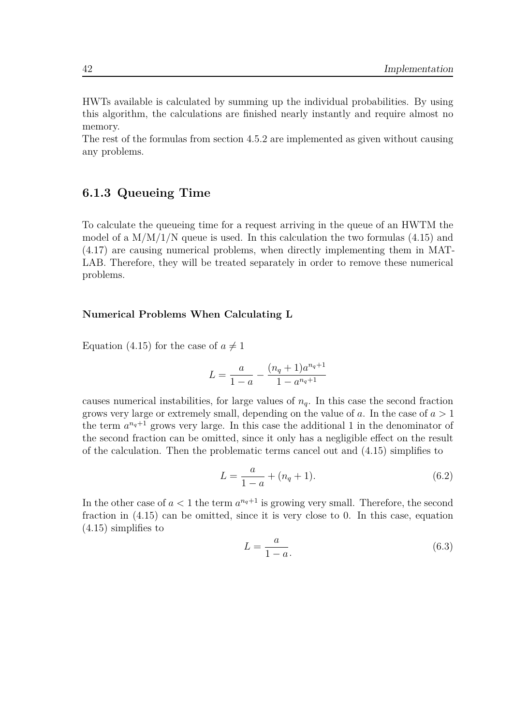HWTs available is calculated by summing up the individual probabilities. By using this algorithm, the calculations are finished nearly instantly and require almost no memory.

The rest of the formulas from section 4.5.2 are implemented as given without causing any problems.

#### **6.1.3 Queueing Time**

To calculate the queueing time for a request arriving in the queue of an HWTM the model of a  $M/M/1/N$  queue is used. In this calculation the two formulas (4.15) and (4.17) are causing numerical problems, when directly implementing them in MAT-LAB. Therefore, they will be treated separately in order to remove these numerical problems.

#### **Numerical Problems When Calculating L**

Equation (4.15) for the case of  $a \neq 1$ 

$$
L = \frac{a}{1-a} - \frac{(n_q + 1)a^{n_q+1}}{1-a^{n_q+1}}
$$

causes numerical instabilities, for large values of  $n_q$ . In this case the second fraction grows very large or extremely small, depending on the value of *a*. In the case of *a >* 1 the term  $a^{n_q+1}$  grows very large. In this case the additional 1 in the denominator of the second fraction can be omitted, since it only has a negligible effect on the result of the calculation. Then the problematic terms cancel out and (4.15) simplifies to

$$
L = \frac{a}{1 - a} + (n_q + 1). \tag{6.2}
$$

In the other case of  $a < 1$  the term  $a^{n_q+1}$  is growing very small. [There](#page-27-3)fore, the second fraction in (4.15) can be omitted, since it is very close to 0. In this case, equation (4.15) simplifies to

$$
L = \frac{a}{1 - a}.\tag{6.3}
$$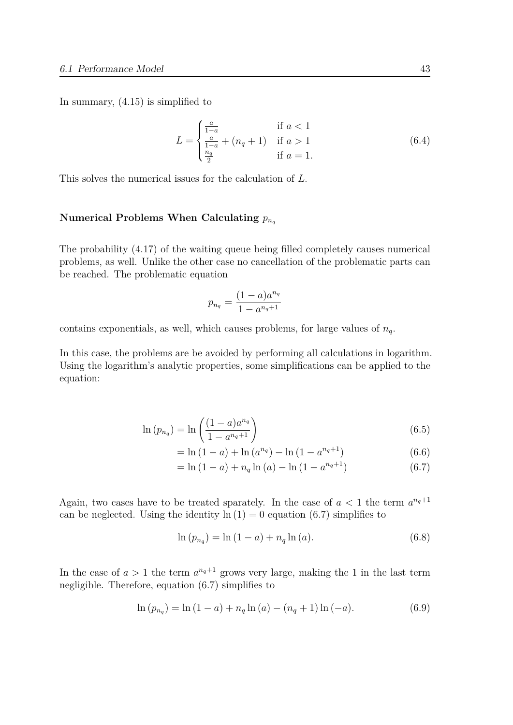In summary, (4.15) is simplified to

$$
L = \begin{cases} \frac{a}{1-a} & \text{if } a < 1\\ \frac{a}{1-a} + (n_q + 1) & \text{if } a > 1\\ \frac{n_q}{2} & \text{if } a = 1. \end{cases}
$$
 (6.4)

This solves the numerical issues for the calculation of *L*.

#### Numerical Problems When Calculating  $p_{n_q}$

The probability (4.17) of the waiting queue being filled completely causes numerical problems, as well. Unlike the other case no cancellation of the problematic parts can be reached. The problematic equation

$$
p_{n_q} = \frac{(1-a)a^{n_q}}{1 - a^{n_q+1}}
$$

contains exponentials, as well, which causes problems, for large values of *nq*.

In this case, the problems are be avoided by performing all calculations in logarithm. Using the logarithm's analytic properties, some simplifications can be applied to the equation:

$$
\ln (p_{n_q}) = \ln \left( \frac{(1-a)a^{n_q}}{1 - a^{n_q + 1}} \right)
$$
\n(6.5)

$$
= \ln(1 - a) + \ln(a^{n_q}) - \ln(1 - a^{n_q + 1})
$$
\n(6.6)

$$
= \ln (1 - a) + n_q \ln (a) - \ln (1 - a^{n_q + 1})
$$
\n(6.7)

Again, two cases have to be treated sparately. In the case of  $a < 1$  the term  $a^{n_q+1}$ can be neglected. Using the identity  $\ln(1) = 0$  equation (6.7) simplifies to

$$
\ln (p_{n_q}) = \ln (1 - a) + n_q \ln (a). \tag{6.8}
$$

In the case of  $a > 1$  the term  $a^{n_q+1}$  grows very large, making the 1 in the last term negligible. Therefore, equation (6.7) simplifies to

$$
\ln (p_{n_q}) = \ln (1 - a) + n_q \ln (a) - (n_q + 1) \ln (-a). \tag{6.9}
$$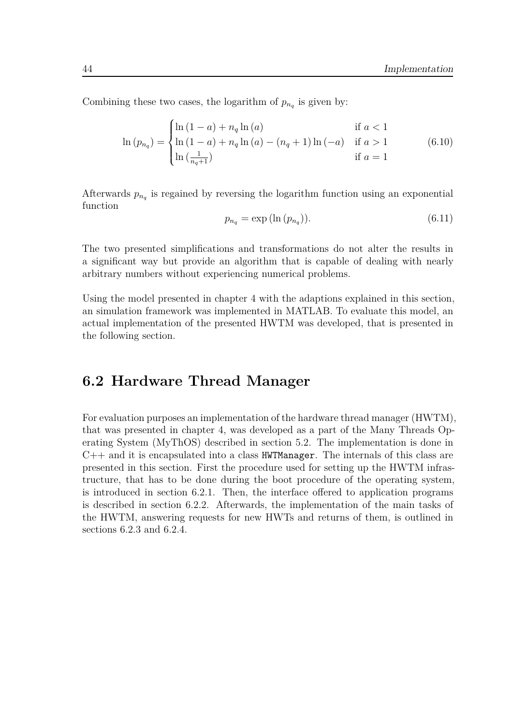Combining these two cases, the logarithm of  $p_{n_q}$  is given by:

$$
\ln (p_{n_q}) = \begin{cases} \ln (1-a) + n_q \ln (a) & \text{if } a < 1\\ \ln (1-a) + n_q \ln (a) - (n_q + 1) \ln (-a) & \text{if } a > 1\\ \ln \left(\frac{1}{n_q + 1}\right) & \text{if } a = 1 \end{cases}
$$
(6.10)

Afterwards  $p_{n_q}$  is regained by reversing the logarithm function using an exponential function

$$
p_{n_q} = \exp(\ln(p_{n_q})).\tag{6.11}
$$

The two presented simplifications and transformations do not alter the results in a significant way but provide an algorithm that is capable of dealing with nearly arbitrary numbers without experiencing numerical problems.

Using the model presented in chapter 4 with the adaptions explained in this section, an simulation framework was implemented in MATLAB. To evaluate this model, an actual implementation of the presented HWTM was developed, that is presented in the following section.

## **6.2 Hardware Thread Manager**

<span id="page-51-0"></span>For evaluation purposes an implementation of the hardware thread manager (HWTM), that was presented in chapter 4, was developed as a part of the Many Threads Operating System (MyThOS) described in section 5.2. The implementation is done in  $C++$  and it is encapsulated into a class  $HWTManager$ . The internals of this class are presented in this section. Firs[t t](#page-20-0)he procedure used for setting up the HWTM infrastructure, that has to be done during the boot [pro](#page-43-0)cedure of the operating system, is introduced in section 6.2.1. Then, the interface offered to application programs is described in section 6.2.2. Afterwards, the implementation of the main tasks of the HWTM, answering requests for new HWTs and returns of them, is outlined in sections 6.2.3 and 6.2.4.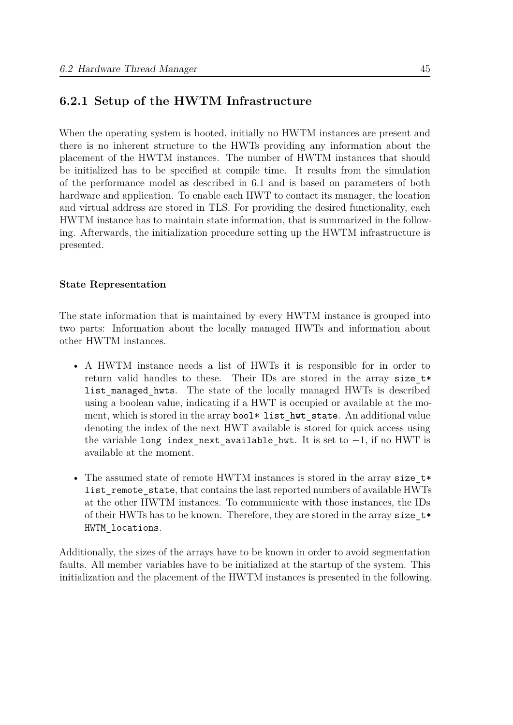### **6.2.1 Setup of the HWTM Infrastructure**

When the operating system is booted, initially no HWTM instances are present and there is no inherent structure to the HWTs providing any information about the placement of the HWTM instances. The number of HWTM instances that should be initialized has to be specified at compile time. It results from the simulation of the performance model as described in 6.1 and is based on parameters of both hardware and application. To enable each HWT to contact its manager, the location and virtual address are stored in TLS. For providing the desired functionality, each HWTM instance has to maintain state infor[ma](#page-46-0)tion, that is summarized in the following. Afterwards, the initialization procedure setting up the HWTM infrastructure is presented.

#### **State Representation**

The state information that is maintained by every HWTM instance is grouped into two parts: Information about the locally managed HWTs and information about other HWTM instances.

- A HWTM instance needs a list of HWTs it is responsible for in order to return valid handles to these. Their IDs are stored in the array size  $t*$ list managed hwts. The state of the locally managed HWTs is described using a boolean value, indicating if a HWT is occupied or available at the moment, which is stored in the array bool\* list hwt state. An additional value denoting the index of the next HWT available is stored for quick access using the variable long index\_next\_available\_hwt. It is set to *−*1, if no HWT is available at the moment.
- The assumed state of remote HWTM instances is stored in the array size  $t*$ list remote state, that contains the last reported numbers of available HWTs at the other HWTM instances. To communicate with those instances, the IDs of their HWTs has to be known. Therefore, they are stored in the array size  $t*$ HWTM\_locations.

Additionally, the sizes of the arrays have to be known in order to avoid segmentation faults. All member variables have to be initialized at the startup of the system. This initialization and the placement of the HWTM instances is presented in the following.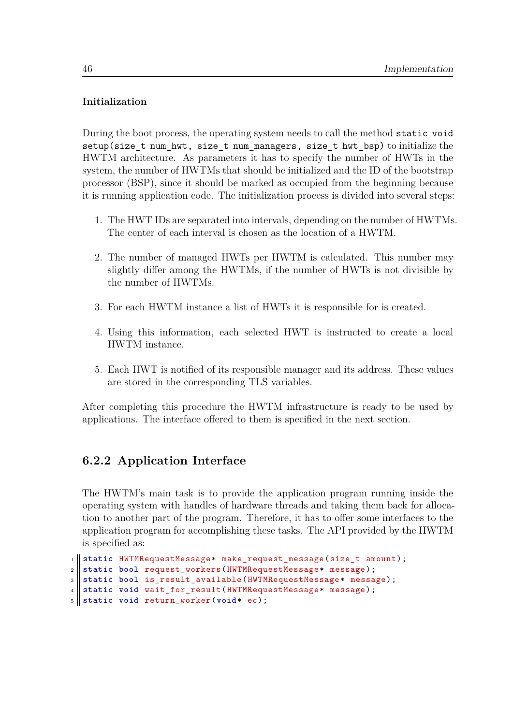#### **Initialization**

During the boot process, the operating system needs to call the method static void setup(size\_t num\_hwt, size\_t num\_managers, size\_t hwt\_bsp) to initialize the HWTM architecture. As parameters it has to specify the number of HWTs in the system, the number of HWTMs that should be initialized and the ID of the bootstrap processor (BSP), since it should be marked as occupied from the beginning because it is running application code. The initialization process is divided into several steps:

- 1. The HWT IDs are separated into intervals, depending on the number of HWTMs. The center of each interval is chosen as the location of a HWTM.
- 2. The number of managed HWTs per HWTM is calculated. This number may slightly differ among the HWTMs, if the number of HWTs is not divisible by the number of HWTMs.
- 3. For each HWTM instance a list of HWTs it is responsible for is created.
- 4. Using this information, each selected HWT is instructed to create a local HWTM instance.
- 5. Each HWT is notified of its responsible manager and its address. These values are stored in the corresponding TLS variables.

After completing this procedure the HWTM infrastructure is ready to be used by applications. The interface offered to them is specified in the next section.

## **6.2.2 Application Interface**

<span id="page-53-0"></span>The HWTM's main task is to provide the application program running inside the operating system with handles of hardware threads and taking them back for allocation to another part of the program. Therefore, it has to offer some interfaces to the application program for accomplishing these tasks. The API provided by the HWTM is specified as:

```
1 static HWTMRequestMessage* make_request_message(size_t amount);
2 static bool request_workers(HWTMRequestMessage* message);
3 static bool is_result_available(HWTMRequestMessage* message);
4 static void wait_for_result(HWTMRequestMessage* message);
5 static void return_worker(void* ec);
```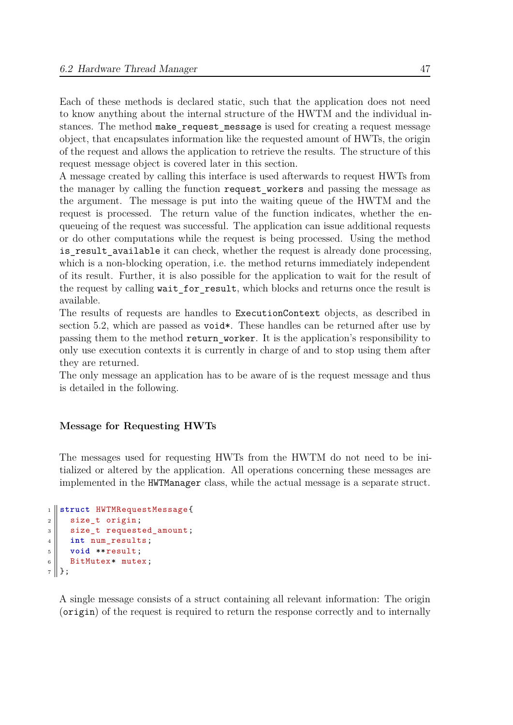Each of these methods is declared static, such that the application does not need to know anything about the internal structure of the HWTM and the individual instances. The method make request message is used for creating a request message object, that encapsulates information like the requested amount of HWTs, the origin of the request and allows the application to retrieve the results. The structure of this request message object is covered later in this section.

A message created by calling this interface is used afterwards to request HWTs from the manager by calling the function request\_workers and passing the message as the argument. The message is put into the waiting queue of the HWTM and the request is processed. The return value of the function indicates, whether the enqueueing of the request was successful. The application can issue additional requests or do other computations while the request is being processed. Using the method is result available it can check, whether the request is already done processing, which is a non-blocking operation, i.e. the method returns immediately independent of its result. Further, it is also possible for the application to wait for the result of the request by calling wait for result, which blocks and returns once the result is available.

The results of requests are handles to ExecutionContext objects, as described in section 5.2, which are passed as void\*. These handles can be returned after use by passing them to the method return\_worker. It is the application's responsibility to only use execution contexts it is currently in charge of and to stop using them after they ar[e re](#page-43-0)turned.

The only message an application has to be aware of is the request message and thus is detailed in the following.

#### **Message for Requesting HWTs**

The messages used for requesting HWTs from the HWTM do not need to be initialized or altered by the application. All operations concerning these messages are implemented in the HWTManager class, while the actual message is a separate struct.

```
1 struct HWTMRequestMessage{
2 \parallel size_t origin;
3 \parallel size_t requested_amount;
4 int num_results;
5 void **result;
6 || BitMutex* mutex;
7 \parallel };
```
A single message consists of a struct containing all relevant information: The origin (origin) of the request is required to return the response correctly and to internally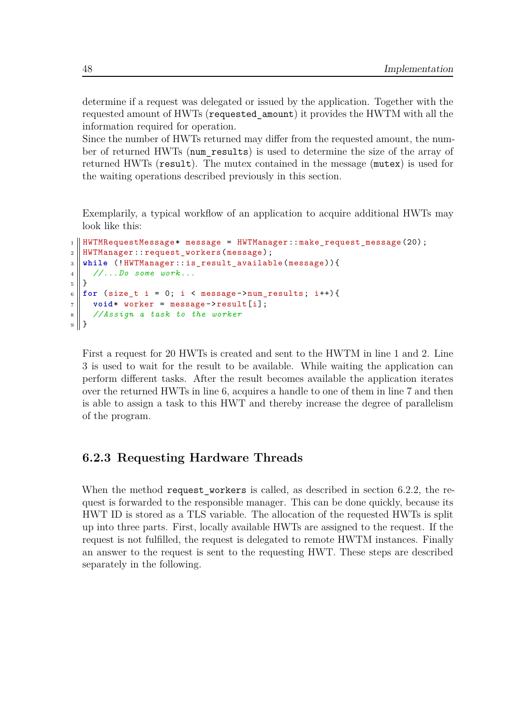determine if a request was delegated or issued by the application. Together with the requested amount of HWTs (requested\_amount) it provides the HWTM with all the information required for operation.

Since the number of HWTs returned may differ from the requested amount, the number of returned HWTs (num\_results) is used to determine the size of the array of returned HWTs (result). The mutex contained in the message (mutex) is used for the waiting operations described previously in this section.

Exemplarily, a typical workflow of an application to acquire additional HWTs may look like this:

```
_1 || HWTMRequestMessage* message = HWTManager::make_request_message (20);
2 || HWTManager::request_workers(message);
3 while (!HWTManager::is_result_available(message)){
4 //...Do some work...
5 \parallel }
6 \parallel for (size_t i = 0; i < message->num_results; i++){
\begin{bmatrix} 7 \end{bmatrix} void* worker = message->result[i];
8 //Assign a task to the worker
9 || }
```
First a request for 20 HWTs is created and sent to the HWTM in line 1 and 2. Line 3 is used to wait for the result to be available. While waiting the application can perform different tasks. After the result becomes available the application iterates over the returned HWTs in line 6, acquires a handle to one of them in line 7 and then is able to assign a task to this HWT and thereby increase the degree of parallelism of the program.

#### **6.2.3 Requesting Hardware Threads**

When the method request workers is called, as described in section 6.2.2, the request is forwarded to the responsible manager. This can be done quickly, because its HWT ID is stored as a TLS variable. The allocation of the requested HWTs is split up into three parts. First, locally available HWTs are assigned to the r[equest](#page-53-0). If the request is not fulfilled, the request is delegated to remote HWTM instances. Finally an answer to the request is sent to the requesting HWT. These steps are described separately in the following.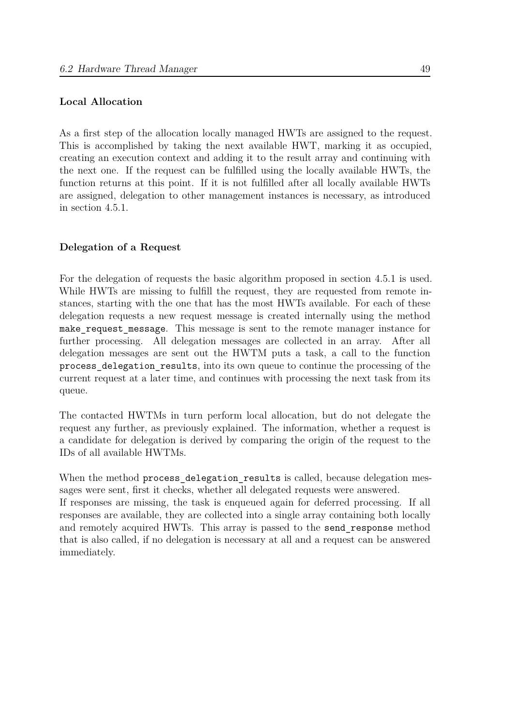#### **Local Allocation**

As a first step of the allocation locally managed HWTs are assigned to the request. This is accomplished by taking the next available HWT, marking it as occupied, creating an execution context and adding it to the result array and continuing with the next one. If the request can be fulfilled using the locally available HWTs, the function returns at this point. If it is not fulfilled after all locally available HWTs are assigned, delegation to other management instances is necessary, as introduced in section 4.5.1.

#### **Delegati[on of](#page-33-0) a Request**

For the delegation of requests the basic algorithm proposed in section 4.5.1 is used. While HWTs are missing to fulfill the request, they are requested from remote instances, starting with the one that has the most HWTs available. For each of these delegation requests a new request message is created internally using [the](#page-33-0) method make request message. This message is sent to the remote manager instance for further processing. All delegation messages are collected in an array. After all delegation messages are sent out the HWTM puts a task, a call to the function process\_delegation\_results, into its own queue to continue the processing of the current request at a later time, and continues with processing the next task from its queue.

The contacted HWTMs in turn perform local allocation, but do not delegate the request any further, as previously explained. The information, whether a request is a candidate for delegation is derived by comparing the origin of the request to the IDs of all available HWTMs.

When the method process delegation results is called, because delegation messages were sent, first it checks, whether all delegated requests were answered.

If responses are missing, the task is enqueued again for deferred processing. If all responses are available, they are collected into a single array containing both locally and remotely acquired HWTs. This array is passed to the send\_response method that is also called, if no delegation is necessary at all and a request can be answered immediately.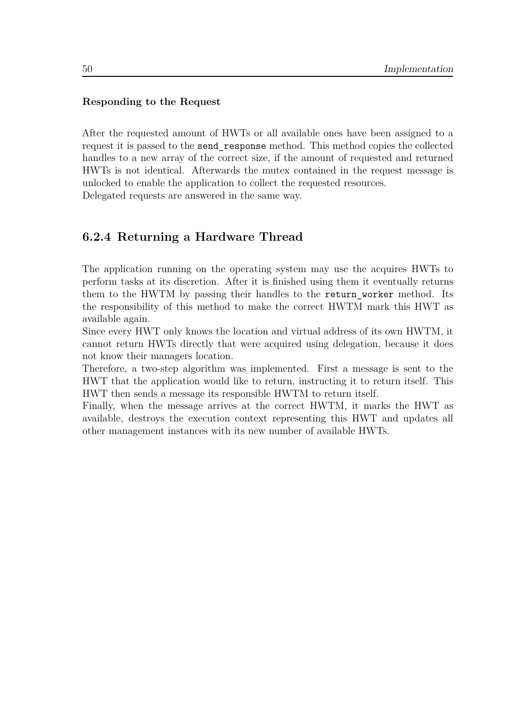#### **Responding to the Request**

After the requested amount of HWTs or all available ones have been assigned to a request it is passed to the send\_response method. This method copies the collected handles to a new array of the correct size, if the amount of requested and returned HWTs is not identical. Afterwards the mutex contained in the request message is unlocked to enable the application to collect the requested resources. Delegated requests are answered in the same way.

**6.2.4 Returning a Hardware Thread**

The application running on the operating system may use the acquires HWTs to perform tasks at its discretion. After it is finished using them it eventually returns them to the HWTM by passing their handles to the return worker method. Its the responsibility of this method to make the correct HWTM mark this HWT as available again.

Since every HWT only knows the location and virtual address of its own HWTM, it cannot return HWTs directly that were acquired using delegation, because it does not know their managers location.

Therefore, a two-step algorithm was implemented. First a message is sent to the HWT that the application would like to return, instructing it to return itself. This HWT then sends a message its responsible HWTM to return itself.

Finally, when the message arrives at the correct HWTM, it marks the HWT as available, destroys the execution context representing this HWT and updates all other management instances with its new number of available HWTs.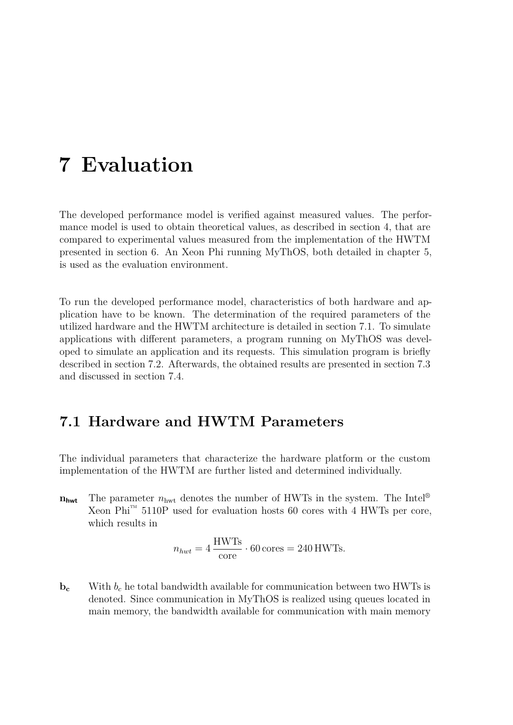# <span id="page-58-1"></span>**7 Evaluation**

The developed performance model is verified against measured values. The performance model is used to obtain theoretical values, as described in section 4, that are compared to experimental values measured from the implementation of the HWTM presented in section 6. An Xeon Phi running MyThOS, both detailed in chapter 5, is used as the evaluation environment.

To run the develope[d](#page-46-1) performance model, characteristics of both hardware and a[p](#page-40-1)plication have to be known. The determination of the required parameters of the utilized hardware and the HWTM architecture is detailed in section 7.1. To simulate applications with different parameters, a program running on MyThOS was developed to simulate an application and its requests. This simulation program is briefly described in section 7.2. Afterwards, the obtained results are presen[ted](#page-58-0) in section 7.3 and discussed in section 7.4.

## **7.1 Hardware [an](#page-65-0)d HWTM Parameters**

<span id="page-58-0"></span>The individual parameters that characterize the hardware platform or the custom implementation of the HWTM are further listed and determined individually.

 $n_{\text{hwt}}$  The parameter  $n_{\text{hwt}}$  denotes the number of HWTs in the system. The Intel<sup>®</sup> Xeon Phi<sup>™</sup> 5110P used for evaluation hosts 60 cores with 4 HWTs per core, which results in

$$
n_{hwt} = 4 \frac{\text{HWTs}}{\text{core}} \cdot 60 \text{ cores} = 240 \text{ HWTs}.
$$

 **With**  $b_c$  **he total bandwidth available for communication between two HWTs is** denoted. Since communication in MyThOS is realized using queues located in main memory, the bandwidth available for communication with main memory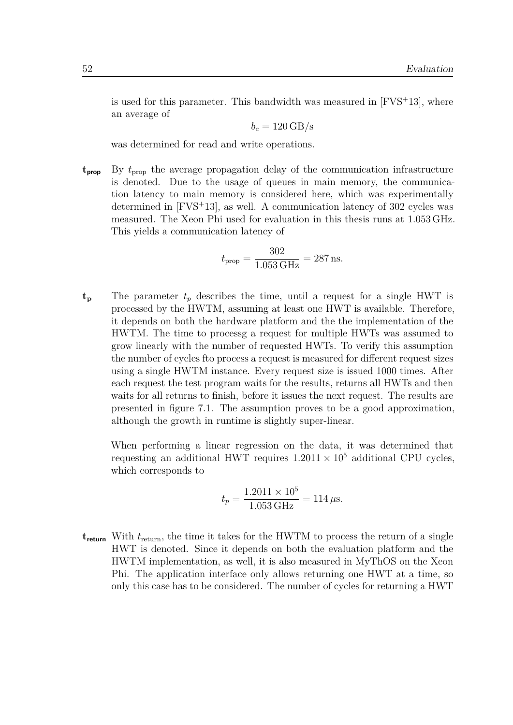is used for this parameter. This bandwidth was measured in  $[FVS^+13]$ , where an average of

$$
b_c = 120 \,\mathrm{GB/s}
$$

was determined for read and write operations.

**tprop** By *t*prop the average propagation delay of the communication infrastructure is denoted. Due to the usage of queues in main memory, the communication latency to main memory is considered here, which was experimentally determined in [FVS<sup>+</sup>13], as well. A communication latency of 302 cycles was measured. The Xeon Phi used for evaluation in this thesis runs at 1*.*053 GHz. This yields a communication latency of

$$
t_{\rm prop} = \frac{302}{1.053 \, \text{GHz}} = 287 \, \text{ns}.
$$

 $t_p$  The parameter  $t_p$  describes the time, until a request for a single HWT is processed by the HWTM, assuming at least one HWT is available. Therefore, it depends on both the hardware platform and the the implementation of the HWTM. The time to processg a request for multiple HWTs was assumed to grow linearly with the number of requested HWTs. To verify this assumption the number of cycles fto process a request is measured for different request sizes using a single HWTM instance. Every request size is issued 1000 times. After each request the test program waits for the results, returns all HWTs and then waits for all returns to finish, before it issues the next request. The results are presented in figure 7.1. The assumption proves to be a good approximation, although the growth in runtime is slightly super-linear.

When performing [a li](#page-60-0)near regression on the data, it was determined that requesting an additional HWT requires  $1.2011 \times 10^5$  additional CPU cycles, which corresponds to

$$
t_p = \frac{1.2011 \times 10^5}{1.053 \text{ GHz}} = 114 \,\mu\text{s}.
$$

**treturn** With *t*return, the time it takes for the HWTM to process the return of a single HWT is denoted. Since it depends on both the evaluation platform and the HWTM implementation, as well, it is also measured in MyThOS on the Xeon Phi. The application interface only allows returning one HWT at a time, so only this case has to be considered. The number of cycles for returning a HWT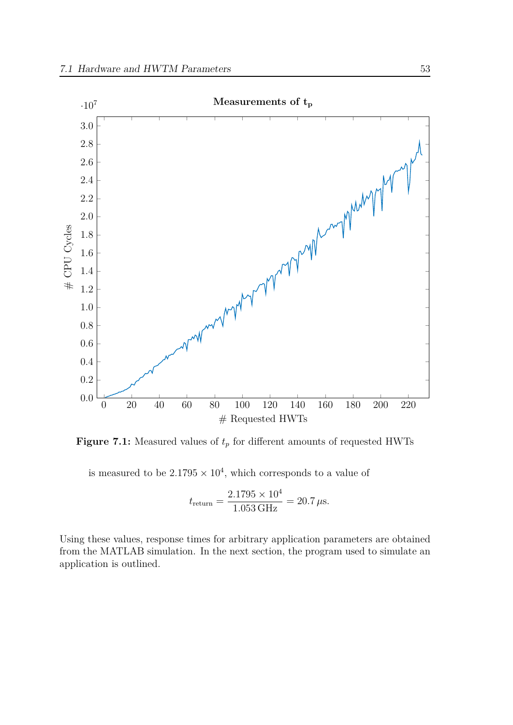<span id="page-60-0"></span>

**Figure 7.1:** Measured values of  $t_p$  for different amounts of requested HWTs

is measured to be  $2.1795 \times 10^4$ , which corresponds to a value of

$$
t_{\text{return}} = \frac{2.1795 \times 10^4}{1.053 \text{ GHz}} = 20.7 \,\mu\text{s}.
$$

Using these values, response times for arbitrary application parameters are obtained from the MATLAB simulation. In the next section, the program used to simulate an application is outlined.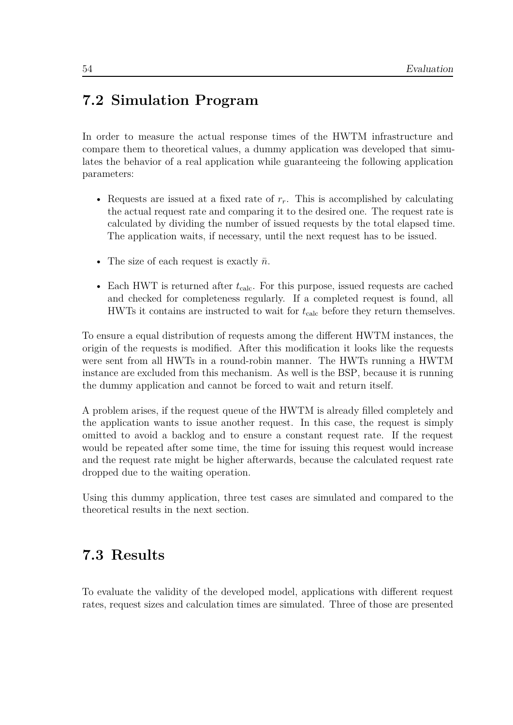# **7.2 Simulation Program**

In order to measure the actual response times of the HWTM infrastructure and compare them to theoretical values, a dummy application was developed that simulates the behavior of a real application while guaranteeing the following application parameters:

- Requests are issued at a fixed rate of *rr*. This is accomplished by calculating the actual request rate and comparing it to the desired one. The request rate is calculated by dividing the number of issued requests by the total elapsed time. The application waits, if necessary, until the next request has to be issued.
- The size of each request is exactly  $\bar{n}$ .
- Each HWT is returned after  $t_{\text{calc}}$ . For this purpose, issued requests are cached and checked for completeness regularly. If a completed request is found, all HWTs it contains are instructed to wait for  $t_{\text{calc}}$  before they return themselves.

To ensure a equal distribution of requests among the different HWTM instances, the origin of the requests is modified. After this modification it looks like the requests were sent from all HWTs in a round-robin manner. The HWTs running a HWTM instance are excluded from this mechanism. As well is the BSP, because it is running the dummy application and cannot be forced to wait and return itself.

A problem arises, if the request queue of the HWTM is already filled completely and the application wants to issue another request. In this case, the request is simply omitted to avoid a backlog and to ensure a constant request rate. If the request would be repeated after some time, the time for issuing this request would increase and the request rate might be higher afterwards, because the calculated request rate dropped due to the waiting operation.

Using this dummy application, three test cases are simulated and compared to the theoretical results in the next section.

# **7.3 Results**

To evaluate the validity of the developed model, applications with different request rates, request sizes and calculation times are simulated. Three of those are presented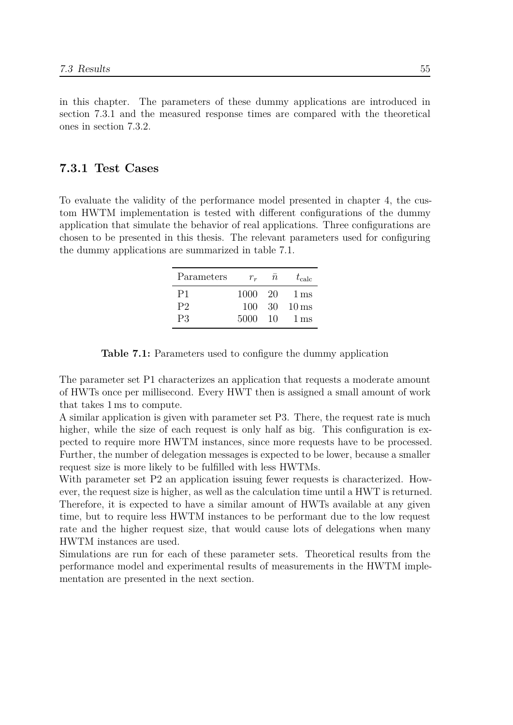in this chapter. The parameters of these dummy applications are introduced in section 7.3.1 and the measured response times are compared with the theoretical ones in section 7.3.2.

#### **7.3.1 [Test](#page-62-0) [Case](#page-63-0)s**

<span id="page-62-0"></span>To evaluate the validity of the performance model presented in chapter 4, the custom HWTM implementation is tested with different configurations of the dummy application that simulate the behavior of real applications. Three configurations are chosen to be presented in this thesis. The relevant parameters used for [co](#page-20-0)nfiguring the dummy applications are summarized in table 7.1.

| Parameters | $r_r$   | $\overline{n}$ | $t_{\rm calc}$            |
|------------|---------|----------------|---------------------------|
| P1         | 1000 20 |                | 1 ms                      |
| P2         | 100     |                | $30 \quad 10 \,\text{ms}$ |
| P3         | 5000    | 10             | $1 \,\mathrm{ms}$         |

**Table 7.1:** Parameters used to configure the dummy application

The parameter set P1 characterizes an application that requests a moderate amount of HWTs once per millisecond. Every HWT then is assigned a small amount of work that takes 1 ms to compute.

A similar application is given with parameter set P3. There, the request rate is much higher, while the size of each request is only half as big. This configuration is expected to require more HWTM instances, since more requests have to be processed. Further, the number of delegation messages is expected to be lower, because a smaller request size is more likely to be fulfilled with less HWTMs.

With parameter set P2 an application issuing fewer requests is characterized. However, the request size is higher, as well as the calculation time until a HWT is returned. Therefore, it is expected to have a similar amount of HWTs available at any given time, but to require less HWTM instances to be performant due to the low request rate and the higher request size, that would cause lots of delegations when many HWTM instances are used.

Simulations are run for each of these parameter sets. Theoretical results from the performance model and experimental results of measurements in the HWTM implementation are presented in the next section.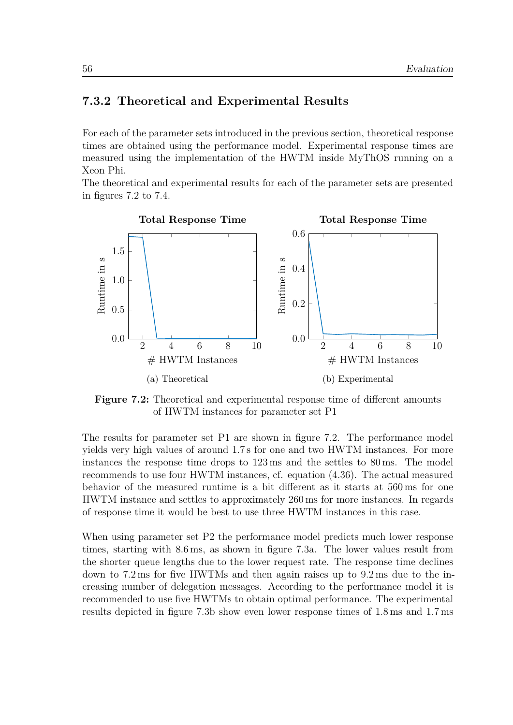#### **7.3.2 Theoretical and Experimental Results**

<span id="page-63-0"></span>For each of the parameter sets introduced in the previous section, theoretical response times are obtained using the performance model. Experimental response times are measured using the implementation of the HWTM inside MyThOS running on a Xeon Phi.

The theoretical and experimental results for each of the parameter sets are presented in figures 7.2 to 7.4.

<span id="page-63-1"></span>

**Figure 7.2:** Theoretical and experimental response time of different amounts of HWTM instances for parameter set P1

The results for parameter set P1 are shown in figure 7.2. The performance model yields very high values of around 1*.*7 s for one and two HWTM instances. For more instances the response time drops to 123 ms and the settles to 80 ms. The model recommends to use four HWTM instances, cf. equatio[n \(4](#page-63-1).36). The actual measured behavior of the measured runtime is a bit different as it starts at 560 ms for one HWTM instance and settles to approximately 260 ms for more instances. In regards of response time it would be best to use three HWTM i[nstan](#page-37-1)ces in this case.

When using parameter set P2 the performance model predicts much lower response times, starting with 8*.*6 ms, as shown in figure 7.3a. The lower values result from the shorter queue lengths due to the lower request rate. The response time declines down to 7*.*2 ms for five HWTMs and then again raises up to 9*.*2 ms due to the increasing number of delegation messages. Accor[ding](#page-64-0) to the performance model it is recommended to use five HWTMs to obtain optimal performance. The experimental results depicted in figure 7.3b show even lower response times of 1*.*8 ms and 1*.*7 ms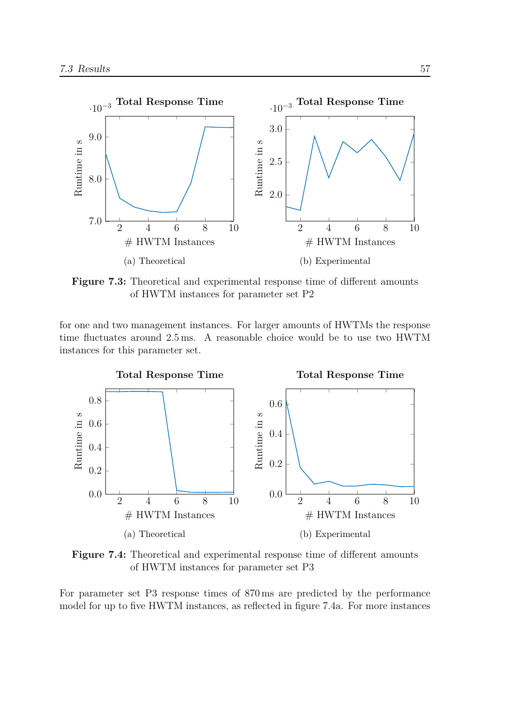<span id="page-64-0"></span>

**Figure 7.3:** Theoretical and experimental response time of different amounts of HWTM instances for parameter set P2

for one and two management instances. For larger amounts of HWTMs the response time fluctuates around 2*.*5 ms. A reasonable choice would be to use two HWTM instances for this parameter set.

<span id="page-64-1"></span>

**Figure 7.4:** Theoretical and experimental response time of different amounts of HWTM instances for parameter set P3

For parameter set P3 response times of 870 ms are predicted by the performance model for up to five HWTM instances, as reflected in figure 7.4a. For more instances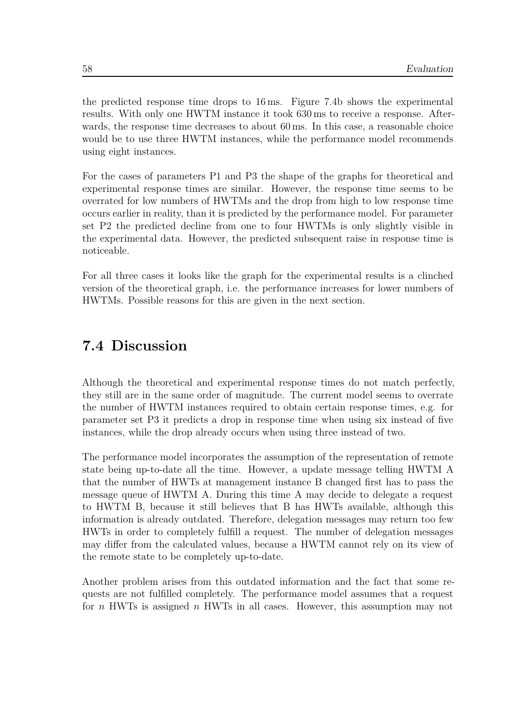the predicted response time drops to 16 ms. Figure 7.4b shows the experimental results. With only one HWTM instance it took 630 ms to receive a response. Afterwards, the response time decreases to about 60 ms. In this case, a reasonable choice would be to use three HWTM instances, while the pe[rform](#page-64-1)ance model recommends using eight instances.

For the cases of parameters P1 and P3 the shape of the graphs for theoretical and experimental response times are similar. However, the response time seems to be overrated for low numbers of HWTMs and the drop from high to low response time occurs earlier in reality, than it is predicted by the performance model. For parameter set P2 the predicted decline from one to four HWTMs is only slightly visible in the experimental data. However, the predicted subsequent raise in response time is noticeable.

For all three cases it looks like the graph for the experimental results is a clinched version of the theoretical graph, i.e. the performance increases for lower numbers of HWTMs. Possible reasons for this are given in the next section.

# **7.4 Discussion**

<span id="page-65-0"></span>Although the theoretical and experimental response times do not match perfectly, they still are in the same order of magnitude. The current model seems to overrate the number of HWTM instances required to obtain certain response times, e.g. for parameter set P3 it predicts a drop in response time when using six instead of five instances, while the drop already occurs when using three instead of two.

The performance model incorporates the assumption of the representation of remote state being up-to-date all the time. However, a update message telling HWTM A that the number of HWTs at management instance B changed first has to pass the message queue of HWTM A. During this time A may decide to delegate a request to HWTM B, because it still believes that B has HWTs available, although this information is already outdated. Therefore, delegation messages may return too few HWTs in order to completely fulfill a request. The number of delegation messages may differ from the calculated values, because a HWTM cannot rely on its view of the remote state to be completely up-to-date.

Another problem arises from this outdated information and the fact that some requests are not fulfilled completely. The performance model assumes that a request for *n* HWTs is assigned *n* HWTs in all cases. However, this assumption may not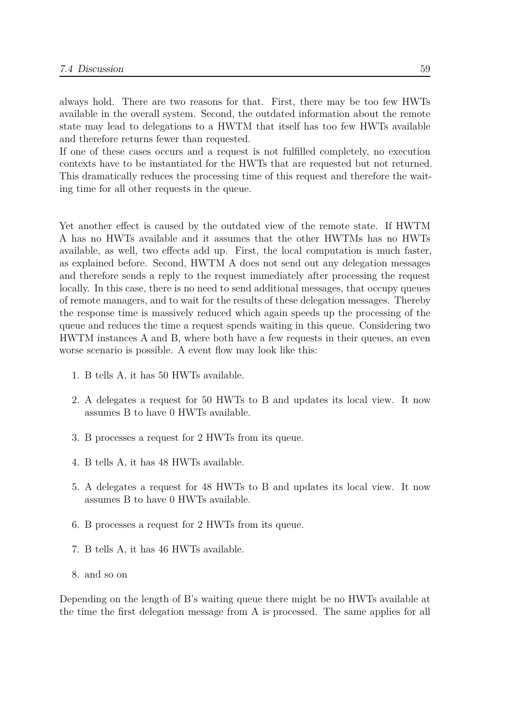always hold. There are two reasons for that. First, there may be too few HWTs available in the overall system. Second, the outdated information about the remote state may lead to delegations to a HWTM that itself has too few HWTs available and therefore returns fewer than requested.

If one of these cases occurs and a request is not fulfilled completely, no execution contexts have to be instantiated for the HWTs that are requested but not returned. This dramatically reduces the processing time of this request and therefore the waiting time for all other requests in the queue.

Yet another effect is caused by the outdated view of the remote state. If HWTM A has no HWTs available and it assumes that the other HWTMs has no HWTs available, as well, two effects add up. First, the local computation is much faster, as explained before. Second, HWTM A does not send out any delegation messages and therefore sends a reply to the request immediately after processing the request locally. In this case, there is no need to send additional messages, that occupy queues of remote managers, and to wait for the results of these delegation messages. Thereby the response time is massively reduced which again speeds up the processing of the queue and reduces the time a request spends waiting in this queue. Considering two HWTM instances A and B, where both have a few requests in their queues, an even worse scenario is possible. A event flow may look like this:

- 1. B tells A, it has 50 HWTs available.
- 2. A delegates a request for 50 HWTs to B and updates its local view. It now assumes B to have 0 HWTs available.
- 3. B processes a request for 2 HWTs from its queue.
- 4. B tells A, it has 48 HWTs available.
- 5. A delegates a request for 48 HWTs to B and updates its local view. It now assumes B to have 0 HWTs available.
- 6. B processes a request for 2 HWTs from its queue.
- 7. B tells A, it has 46 HWTs available.
- 8. and so on

Depending on the length of B's waiting queue there might be no HWTs available at the time the first delegation message from A is processed. The same applies for all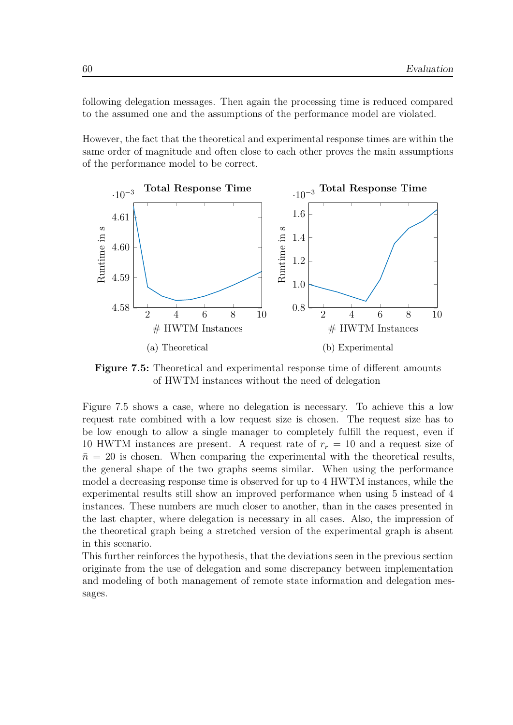following delegation messages. Then again the processing time is reduced compared to the assumed one and the assumptions of the performance model are violated.

However, the fact that the theoretical and experimental response times are within the same order of magnitude and often close to each other proves the main assumptions of the performance model to be correct.

<span id="page-67-0"></span>

**Figure 7.5:** Theoretical and experimental response time of different amounts of HWTM instances without the need of delegation

Figure 7.5 shows a case, where no delegation is necessary. To achieve this a low request rate combined with a low request size is chosen. The request size has to be low enough to allow a single manager to completely fulfill the request, even if 10 HW[TM](#page-67-0) instances are present. A request rate of *r<sup>r</sup>* = 10 and a request size of  $\bar{n}$  = 20 is chosen. When comparing the experimental with the theoretical results, the general shape of the two graphs seems similar. When using the performance model a decreasing response time is observed for up to 4 HWTM instances, while the experimental results still show an improved performance when using 5 instead of 4 instances. These numbers are much closer to another, than in the cases presented in the last chapter, where delegation is necessary in all cases. Also, the impression of the theoretical graph being a stretched version of the experimental graph is absent in this scenario.

This further reinforces the hypothesis, that the deviations seen in the previous section originate from the use of delegation and some discrepancy between implementation and modeling of both management of remote state information and delegation messages.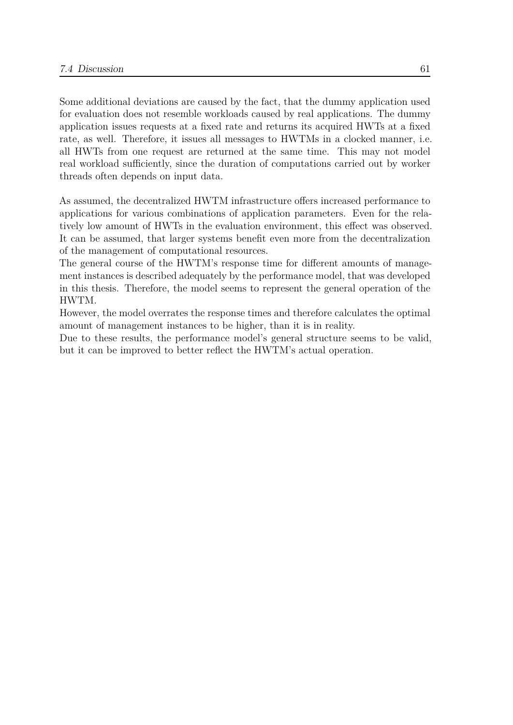Some additional deviations are caused by the fact, that the dummy application used for evaluation does not resemble workloads caused by real applications. The dummy application issues requests at a fixed rate and returns its acquired HWTs at a fixed rate, as well. Therefore, it issues all messages to HWTMs in a clocked manner, i.e. all HWTs from one request are returned at the same time. This may not model real workload sufficiently, since the duration of computations carried out by worker threads often depends on input data.

As assumed, the decentralized HWTM infrastructure offers increased performance to applications for various combinations of application parameters. Even for the relatively low amount of HWTs in the evaluation environment, this effect was observed. It can be assumed, that larger systems benefit even more from the decentralization of the management of computational resources.

The general course of the HWTM's response time for different amounts of management instances is described adequately by the performance model, that was developed in this thesis. Therefore, the model seems to represent the general operation of the HWTM.

However, the model overrates the response times and therefore calculates the optimal amount of management instances to be higher, than it is in reality.

Due to these results, the performance model's general structure seems to be valid, but it can be improved to better reflect the HWTM's actual operation.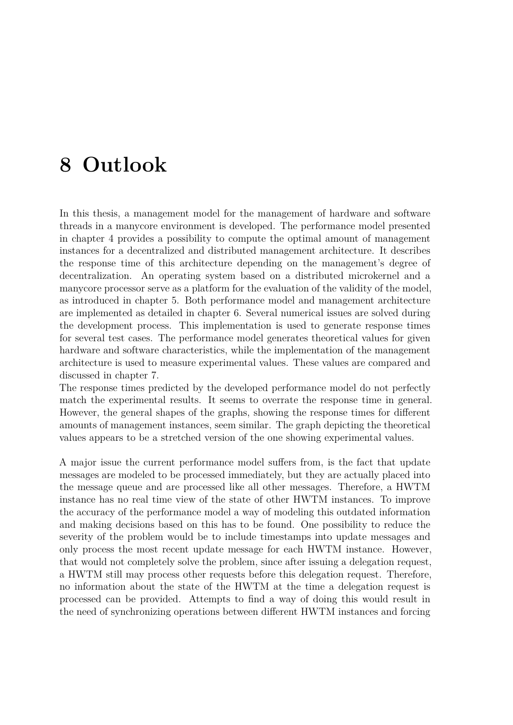# **8 Outlook**

In this thesis, a management model for the management of hardware and software threads in a manycore environment is developed. The performance model presented in chapter 4 provides a possibility to compute the optimal amount of management instances for a decentralized and distributed management architecture. It describes the response time of this architecture depending on the management's degree of decentraliz[at](#page-20-0)ion. An operating system based on a distributed microkernel and a manycore processor serve as a platform for the evaluation of the validity of the model, as introduced in chapter 5. Both performance model and management architecture are implemented as detailed in chapter 6. Several numerical issues are solved during the development process. This implementation is used to generate response times for several test cases. Th[e](#page-40-1) performance model generates theoretical values for given hardware and software characteristics, [wh](#page-46-1)ile the implementation of the management architecture is used to measure experimental values. These values are compared and discussed in chapter 7.

The response times predicted by the developed performance model do not perfectly match the experimental results. It seems to overrate the response time in general. However, the genera[l](#page-58-1) shapes of the graphs, showing the response times for different amounts of management instances, seem similar. The graph depicting the theoretical values appears to be a stretched version of the one showing experimental values.

A major issue the current performance model suffers from, is the fact that update messages are modeled to be processed immediately, but they are actually placed into the message queue and are processed like all other messages. Therefore, a HWTM instance has no real time view of the state of other HWTM instances. To improve the accuracy of the performance model a way of modeling this outdated information and making decisions based on this has to be found. One possibility to reduce the severity of the problem would be to include timestamps into update messages and only process the most recent update message for each HWTM instance. However, that would not completely solve the problem, since after issuing a delegation request, a HWTM still may process other requests before this delegation request. Therefore, no information about the state of the HWTM at the time a delegation request is processed can be provided. Attempts to find a way of doing this would result in the need of synchronizing operations between different HWTM instances and forcing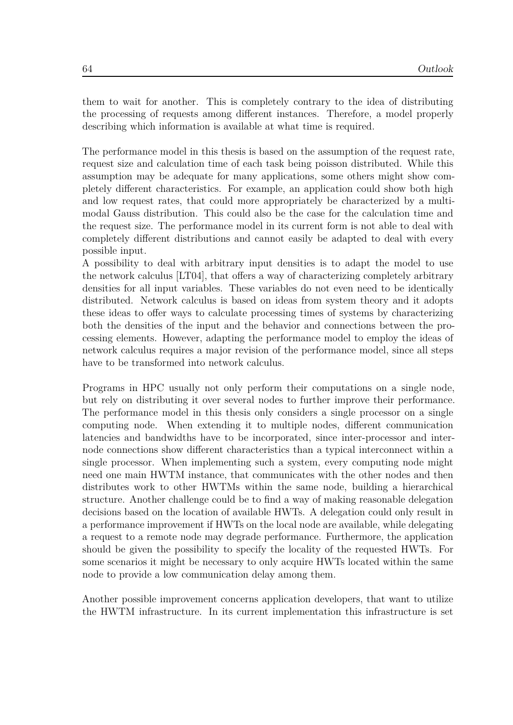them to wait for another. This is completely contrary to the idea of distributing the processing of requests among different instances. Therefore, a model properly describing which information is available at what time is required.

The performance model in this thesis is based on the assumption of the request rate, request size and calculation time of each task being poisson distributed. While this assumption may be adequate for many applications, some others might show completely different characteristics. For example, an application could show both high and low request rates, that could more appropriately be characterized by a multimodal Gauss distribution. This could also be the case for the calculation time and the request size. The performance model in its current form is not able to deal with completely different distributions and cannot easily be adapted to deal with every possible input.

A possibility to deal with arbitrary input densities is to adapt the model to use the network calculus [LT04], that offers a way of characterizing completely arbitrary densities for all input variables. These variables do not even need to be identically distributed. Network calculus is based on ideas from system theory and it adopts these ideas to offer w[ays to](#page-75-2) calculate processing times of systems by characterizing both the densities of the input and the behavior and connections between the processing elements. However, adapting the performance model to employ the ideas of network calculus requires a major revision of the performance model, since all steps have to be transformed into network calculus.

Programs in HPC usually not only perform their computations on a single node, but rely on distributing it over several nodes to further improve their performance. The performance model in this thesis only considers a single processor on a single computing node. When extending it to multiple nodes, different communication latencies and bandwidths have to be incorporated, since inter-processor and internode connections show different characteristics than a typical interconnect within a single processor. When implementing such a system, every computing node might need one main HWTM instance, that communicates with the other nodes and then distributes work to other HWTMs within the same node, building a hierarchical structure. Another challenge could be to find a way of making reasonable delegation decisions based on the location of available HWTs. A delegation could only result in a performance improvement if HWTs on the local node are available, while delegating a request to a remote node may degrade performance. Furthermore, the application should be given the possibility to specify the locality of the requested HWTs. For some scenarios it might be necessary to only acquire HWTs located within the same node to provide a low communication delay among them.

Another possible improvement concerns application developers, that want to utilize the HWTM infrastructure. In its current implementation this infrastructure is set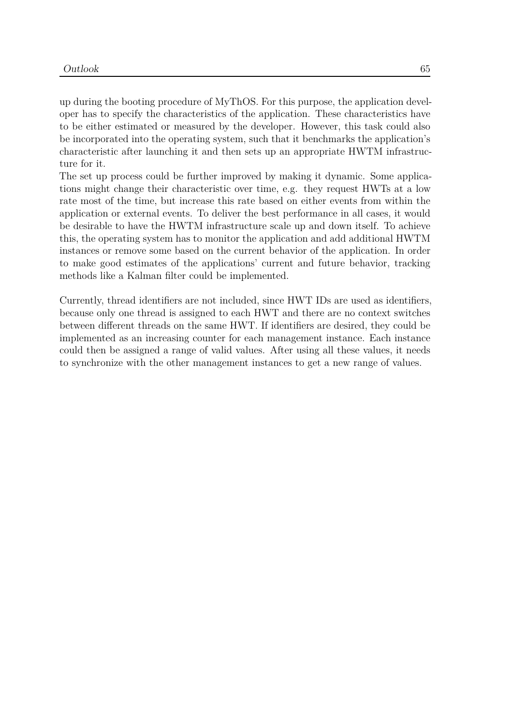up during the booting procedure of MyThOS. For this purpose, the application developer has to specify the characteristics of the application. These characteristics have to be either estimated or measured by the developer. However, this task could also be incorporated into the operating system, such that it benchmarks the application's characteristic after launching it and then sets up an appropriate HWTM infrastructure for it.

The set up process could be further improved by making it dynamic. Some applications might change their characteristic over time, e.g. they request HWTs at a low rate most of the time, but increase this rate based on either events from within the application or external events. To deliver the best performance in all cases, it would be desirable to have the HWTM infrastructure scale up and down itself. To achieve this, the operating system has to monitor the application and add additional HWTM instances or remove some based on the current behavior of the application. In order to make good estimates of the applications' current and future behavior, tracking methods like a Kalman filter could be implemented.

Currently, thread identifiers are not included, since HWT IDs are used as identifiers, because only one thread is assigned to each HWT and there are no context switches between different threads on the same HWT. If identifiers are desired, they could be implemented as an increasing counter for each management instance. Each instance could then be assigned a range of valid values. After using all these values, it needs to synchronize with the other management instances to get a new range of values.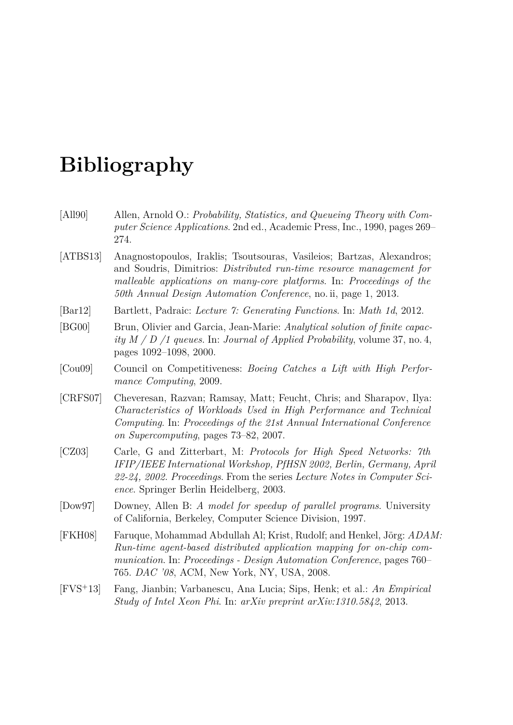## **Bibliography**

- [All90] Allen, Arnold O.: *Probability, Statistics, and Queueing Theory with Computer Science Applications*. 2nd ed., Academic Press, Inc., 1990, pages 269– 274.
- [ATBS13] Anagnostopoulos, Iraklis; Tsoutsouras, Vasileios; Bartzas, Alexandros; and Soudris, Dimitrios: *Distributed run-time resource management for malleable applications on many-core platforms*. In: *Proceedings of the 50th Annual Design Automation Conference*, no. ii, page 1, 2013.
- [Bar12] Bartlett, Padraic: *Lecture 7: Generating Functions*. In: *Math 1d*, 2012.
- [BG00] Brun, Olivier and Garcia, Jean-Marie: *Analytical solution of finite capacity M / D /1 queues*. In: *Journal of Applied Probability*, volume 37, no. 4, pages 1092–1098, 2000.
- [Cou09] Council on Competitiveness: *Boeing Catches a Lift with High Performance Computing*, 2009.
- [CRFS07] Cheveresan, Razvan; Ramsay, Matt; Feucht, Chris; and Sharapov, Ilya: *Characteristics of Workloads Used in High Performance and Technical Computing*. In: *Proceedings of the 21st Annual International Conference on Supercomputing*, pages 73–82, 2007.
- [CZ03] Carle, G and Zitterbart, M: *Protocols for High Speed Networks: 7th IFIP/IEEE International Workshop, PfHSN 2002, Berlin, Germany, April 22-24, 2002. Proceedings*. From the series *Lecture Notes in Computer Science*. Springer Berlin Heidelberg, 2003.
- [Dow97] Downey, Allen B: *A model for speedup of parallel programs*. University of California, Berkeley, Computer Science Division, 1997.
- [FKH08] Faruque, Mohammad Abdullah Al; Krist, Rudolf; and Henkel, Jörg: *ADAM: Run-time agent-based distributed application mapping for on-chip communication*. In: *Proceedings - Design Automation Conference*, pages 760– 765. *DAC '08*, ACM, New York, NY, USA, 2008.
- [FVS<sup>+</sup>13] Fang, Jianbin; Varbanescu, Ana Lucia; Sips, Henk; et al.: *An Empirical Study of Intel Xeon Phi*. In: *arXiv preprint arXiv:1310.5842*, 2013.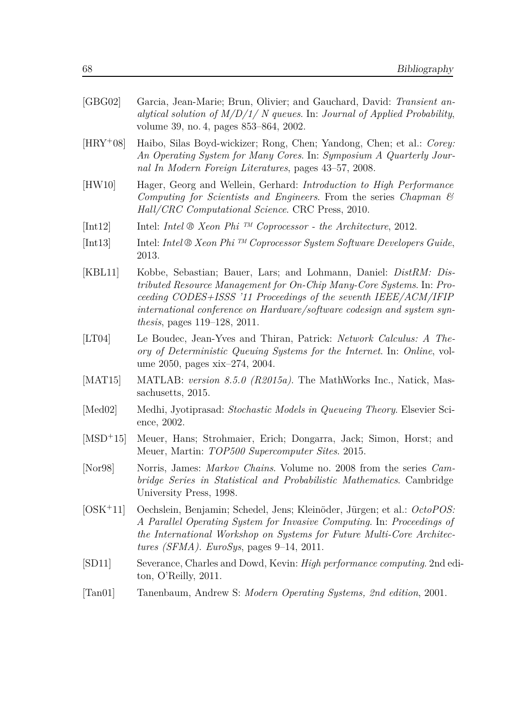| [GBG02]                      | Garcia, Jean-Marie; Brun, Olivier; and Gauchard, David: Transient an-<br>alytical solution of $M/D/1/N$ queues. In: Journal of Applied Probability,<br>volume 39, no. 4, pages 853–864, 2002.                                                                                                                                              |
|------------------------------|--------------------------------------------------------------------------------------------------------------------------------------------------------------------------------------------------------------------------------------------------------------------------------------------------------------------------------------------|
| $[HRY+08]$                   | Haibo, Silas Boyd-wickizer; Rong, Chen; Yandong, Chen; et al.: Corey:<br>An Operating System for Many Cores. In: Symposium A Quarterly Jour-<br>nal In Modern Foreign Literatures, pages 43–57, 2008.                                                                                                                                      |
| [HW10]                       | Hager, Georg and Wellein, Gerhard: Introduction to High Performance<br>Computing for Scientists and Engineers. From the series Chapman $\mathcal{C}$<br>Hall/CRC Computational Science. CRC Press, 2010.                                                                                                                                   |
| [Int12]                      | Intel: Intel $\otimes$ Xeon Phi <sup>TM</sup> Coprocessor - the Architecture, 2012.                                                                                                                                                                                                                                                        |
| [Int13]                      | Intel: Intel $\mathfrak{B}$ Xeon Phi <sup>TM</sup> Coprocessor System Software Developers Guide,<br>2013.                                                                                                                                                                                                                                  |
| [KBL11]                      | Kobbe, Sebastian; Bauer, Lars; and Lohmann, Daniel: <i>DistRM: Dis-</i><br>tributed Resource Management for On-Chip Many-Core Systems. In: Pro-<br>ceeding CODES+ISSS '11 Proceedings of the seventh IEEE/ACM/IFIP<br>international conference on Hardware/software codesign and system syn-<br><i>thesis</i> , pages $119-128$ , $2011$ . |
| [LT04]                       | Le Boudec, Jean-Yves and Thiran, Patrick: Network Calculus: A The-<br>ory of Deterministic Queuing Systems for the Internet. In: Online, vol-<br>ume 2050, pages xix-274, 2004.                                                                                                                                                            |
| [MAT15]                      | MATLAB: version 8.5.0 (R2015a). The MathWorks Inc., Natick, Mas-<br>sachusetts, 2015.                                                                                                                                                                                                                                                      |
| [ $Med02$ ]                  | Medhi, Jyotiprasad: Stochastic Models in Queueing Theory. Elsevier Sci-<br>ence, 2002.                                                                                                                                                                                                                                                     |
| $[MSD+15]$                   | Meuer, Hans; Strohmaier, Erich; Dongarra, Jack; Simon, Horst; and<br>Meuer, Martin: <i>TOP500 Supercomputer Sites.</i> 2015.                                                                                                                                                                                                               |
| [Nor98]                      | Norris, James: <i>Markov Chains</i> . Volume no. 2008 from the series <i>Cam-</i><br>bridge Series in Statistical and Probabilistic Mathematics. Cambridge<br>University Press, 1998.                                                                                                                                                      |
| $[OSK+11]$                   | Oechslein, Benjamin; Schedel, Jens; Kleinöder, Jürgen; et al.: OctoPOS:<br>A Parallel Operating System for Invasive Computing. In: Proceedings of<br>the International Workshop on Systems for Future Multi-Core Architec-<br>tures (SFMA). EuroSys, pages $9-14$ , 2011.                                                                  |
| [SD11]                       | Severance, Charles and Dowd, Kevin: <i>High performance computing</i> . 2nd edi-<br>ton, O'Reilly, $2011$ .                                                                                                                                                                                                                                |
| $\lceil \text{Tan}01 \rceil$ | Tanenbaum, Andrew S: Modern Operating Systems, 2nd edition, 2001.                                                                                                                                                                                                                                                                          |
|                              |                                                                                                                                                                                                                                                                                                                                            |